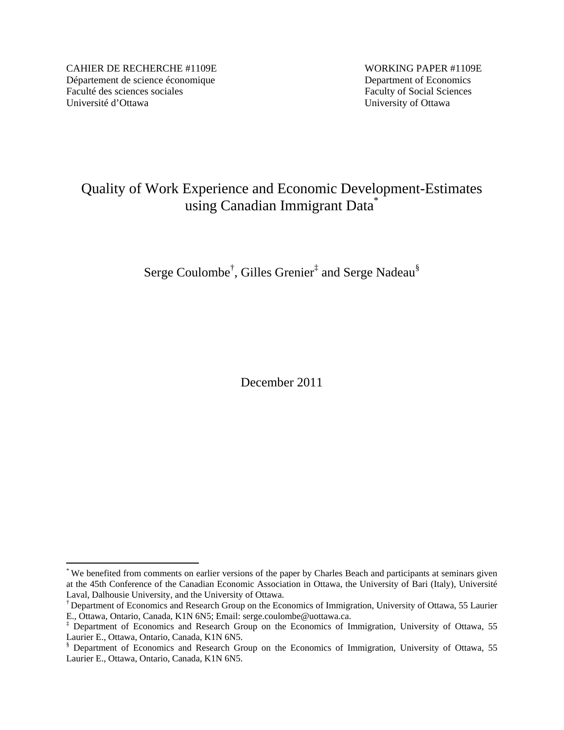CAHIER DE RECHERCHE #1109E WORKING PAPER #1109E Département de science économique Department of Economics Faculté des sciences sociales Faculty of Social Sciences Université d'Ottawa University of Ottawa

 $\overline{a}$ 

# Quality of Work Experience and Economic Development-Estimates using Canadian Immigrant Data\*

Serge Coulombe<sup>†</sup>, Gilles Grenier<sup>‡</sup> and Serge Nadeau<sup>§</sup>

December 2011

<sup>\*</sup> We benefited from comments on earlier versions of the paper by Charles Beach and participants at seminars given at the 45th Conference of the Canadian Economic Association in Ottawa, the University of Bari (Italy), Université Laval, Dalhousie University, and the University of Ottawa.

<sup>†</sup> Department of Economics and Research Group on the Economics of Immigration, University of Ottawa, 55 Laurier E., Ottawa, Ontario, Canada, K1N 6N5; Email: serge.coulombe@uottawa.ca.

<sup>‡</sup> Department of Economics and Research Group on the Economics of Immigration, University of Ottawa, 55 Laurier E., Ottawa, Ontario, Canada, K1N 6N5.

<sup>§</sup> Department of Economics and Research Group on the Economics of Immigration, University of Ottawa, 55 Laurier E., Ottawa, Ontario, Canada, K1N 6N5.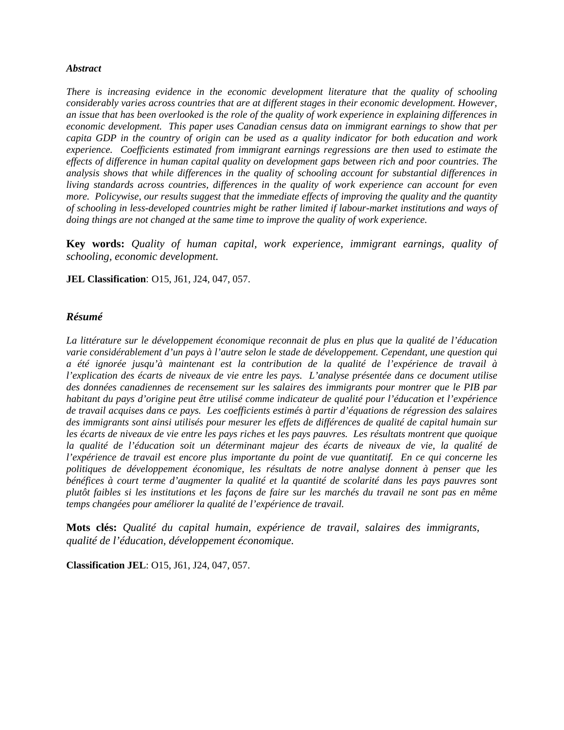#### *Abstract*

*There is increasing evidence in the economic development literature that the quality of schooling considerably varies across countries that are at different stages in their economic development. However, an issue that has been overlooked is the role of the quality of work experience in explaining differences in economic development. This paper uses Canadian census data on immigrant earnings to show that per capita GDP in the country of origin can be used as a quality indicator for both education and work experience. Coefficients estimated from immigrant earnings regressions are then used to estimate the effects of difference in human capital quality on development gaps between rich and poor countries. The analysis shows that while differences in the quality of schooling account for substantial differences in living standards across countries, differences in the quality of work experience can account for even more. Policywise, our results suggest that the immediate effects of improving the quality and the quantity of schooling in less-developed countries might be rather limited if labour-market institutions and ways of doing things are not changed at the same time to improve the quality of work experience.* 

**Key words:** *Quality of human capital, work experience, immigrant earnings, quality of schooling, economic development.*

**JEL Classification**: O15, J61, J24, 047, 057.

#### *Résumé*

*La littérature sur le développement économique reconnait de plus en plus que la qualité de l'éducation varie considérablement d'un pays à l'autre selon le stade de développement. Cependant, une question qui a été ignorée jusqu'à maintenant est la contribution de la qualité de l'expérience de travail à l'explication des écarts de niveaux de vie entre les pays. L'analyse présentée dans ce document utilise des données canadiennes de recensement sur les salaires des immigrants pour montrer que le PIB par habitant du pays d'origine peut être utilisé comme indicateur de qualité pour l'éducation et l'expérience de travail acquises dans ce pays. Les coefficients estimés à partir d'équations de régression des salaires des immigrants sont ainsi utilisés pour mesurer les effets de différences de qualité de capital humain sur les écarts de niveaux de vie entre les pays riches et les pays pauvres. Les résultats montrent que quoique la qualité de l'éducation soit un déterminant majeur des écarts de niveaux de vie, la qualité de l'expérience de travail est encore plus importante du point de vue quantitatif. En ce qui concerne les politiques de développement économique, les résultats de notre analyse donnent à penser que les bénéfices à court terme d'augmenter la qualité et la quantité de scolarité dans les pays pauvres sont plutôt faibles si les institutions et les façons de faire sur les marchés du travail ne sont pas en même temps changées pour améliorer la qualité de l'expérience de travail.* 

**Mots clés:** *Qualité du capital humain, expérience de travail, salaires des immigrants, qualité de l'éducation, développement économique.*

**Classification JEL**: O15, J61, J24, 047, 057.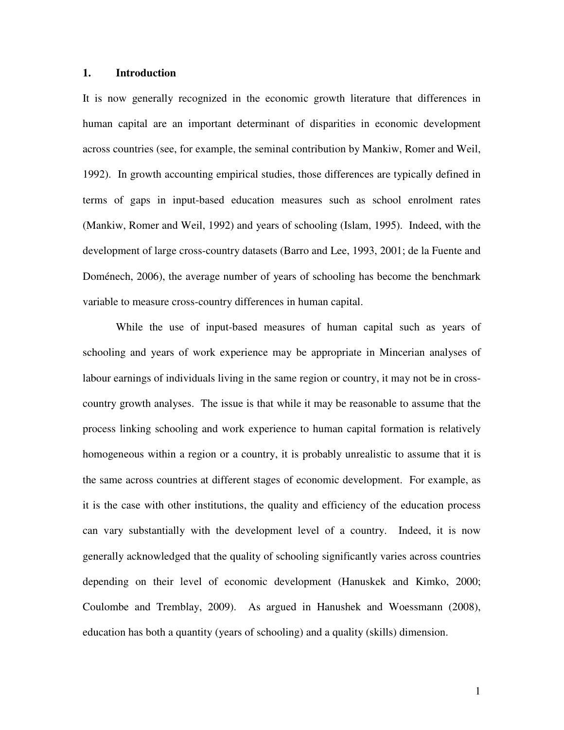## **1. Introduction**

It is now generally recognized in the economic growth literature that differences in human capital are an important determinant of disparities in economic development across countries (see, for example, the seminal contribution by Mankiw, Romer and Weil, 1992). In growth accounting empirical studies, those differences are typically defined in terms of gaps in input-based education measures such as school enrolment rates (Mankiw, Romer and Weil, 1992) and years of schooling (Islam, 1995). Indeed, with the development of large cross-country datasets (Barro and Lee, 1993, 2001; de la Fuente and Doménech, 2006), the average number of years of schooling has become the benchmark variable to measure cross-country differences in human capital.

 While the use of input-based measures of human capital such as years of schooling and years of work experience may be appropriate in Mincerian analyses of labour earnings of individuals living in the same region or country, it may not be in crosscountry growth analyses. The issue is that while it may be reasonable to assume that the process linking schooling and work experience to human capital formation is relatively homogeneous within a region or a country, it is probably unrealistic to assume that it is the same across countries at different stages of economic development. For example, as it is the case with other institutions, the quality and efficiency of the education process can vary substantially with the development level of a country. Indeed, it is now generally acknowledged that the quality of schooling significantly varies across countries depending on their level of economic development (Hanuskek and Kimko, 2000; Coulombe and Tremblay, 2009). As argued in Hanushek and Woessmann (2008), education has both a quantity (years of schooling) and a quality (skills) dimension.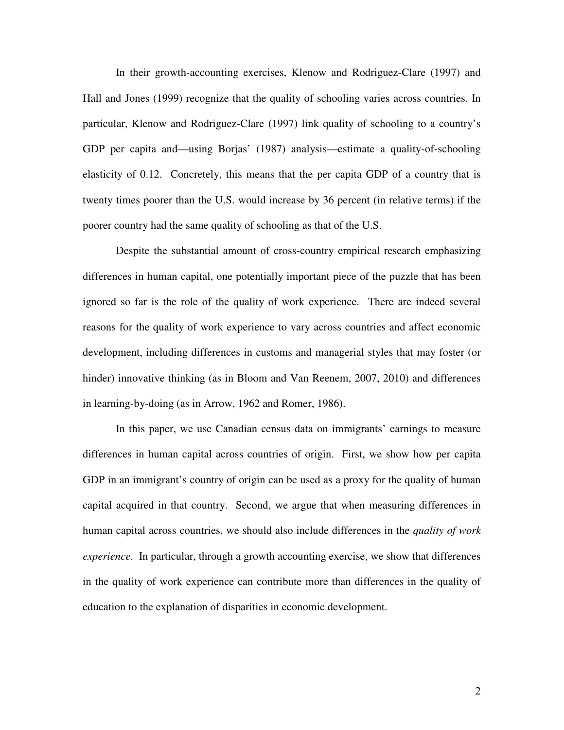In their growth-accounting exercises, Klenow and Rodriguez-Clare (1997) and Hall and Jones (1999) recognize that the quality of schooling varies across countries. In particular, Klenow and Rodriguez-Clare (1997) link quality of schooling to a country's GDP per capita and—using Borjas' (1987) analysis—estimate a quality-of-schooling elasticity of 0.12. Concretely, this means that the per capita GDP of a country that is twenty times poorer than the U.S. would increase by 36 percent (in relative terms) if the poorer country had the same quality of schooling as that of the U.S.

Despite the substantial amount of cross-country empirical research emphasizing differences in human capital, one potentially important piece of the puzzle that has been ignored so far is the role of the quality of work experience. There are indeed several reasons for the quality of work experience to vary across countries and affect economic development, including differences in customs and managerial styles that may foster (or hinder) innovative thinking (as in Bloom and Van Reenem, 2007, 2010) and differences in learning-by-doing (as in Arrow, 1962 and Romer, 1986).

In this paper, we use Canadian census data on immigrants' earnings to measure differences in human capital across countries of origin. First, we show how per capita GDP in an immigrant's country of origin can be used as a proxy for the quality of human capital acquired in that country. Second, we argue that when measuring differences in human capital across countries, we should also include differences in the *quality of work experience*. In particular, through a growth accounting exercise, we show that differences in the quality of work experience can contribute more than differences in the quality of education to the explanation of disparities in economic development.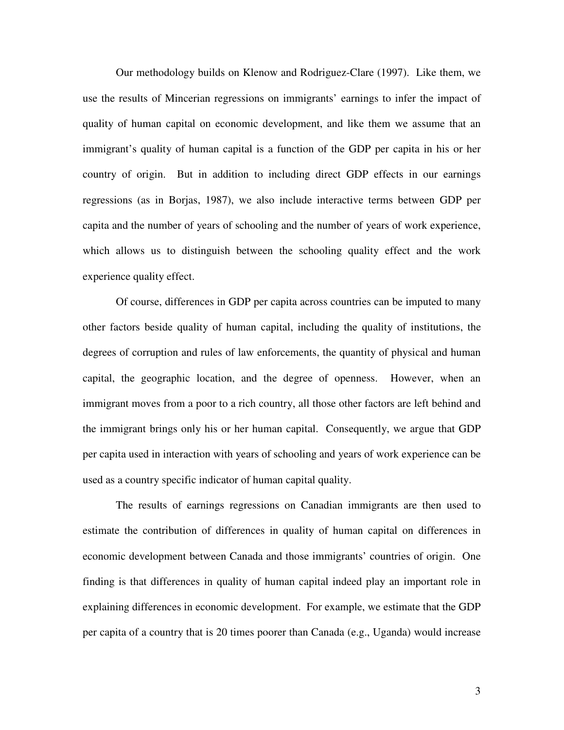Our methodology builds on Klenow and Rodriguez-Clare (1997). Like them, we use the results of Mincerian regressions on immigrants' earnings to infer the impact of quality of human capital on economic development, and like them we assume that an immigrant's quality of human capital is a function of the GDP per capita in his or her country of origin. But in addition to including direct GDP effects in our earnings regressions (as in Borjas, 1987), we also include interactive terms between GDP per capita and the number of years of schooling and the number of years of work experience, which allows us to distinguish between the schooling quality effect and the work experience quality effect.

Of course, differences in GDP per capita across countries can be imputed to many other factors beside quality of human capital, including the quality of institutions, the degrees of corruption and rules of law enforcements, the quantity of physical and human capital, the geographic location, and the degree of openness. However, when an immigrant moves from a poor to a rich country, all those other factors are left behind and the immigrant brings only his or her human capital. Consequently, we argue that GDP per capita used in interaction with years of schooling and years of work experience can be used as a country specific indicator of human capital quality.

The results of earnings regressions on Canadian immigrants are then used to estimate the contribution of differences in quality of human capital on differences in economic development between Canada and those immigrants' countries of origin. One finding is that differences in quality of human capital indeed play an important role in explaining differences in economic development. For example, we estimate that the GDP per capita of a country that is 20 times poorer than Canada (e.g., Uganda) would increase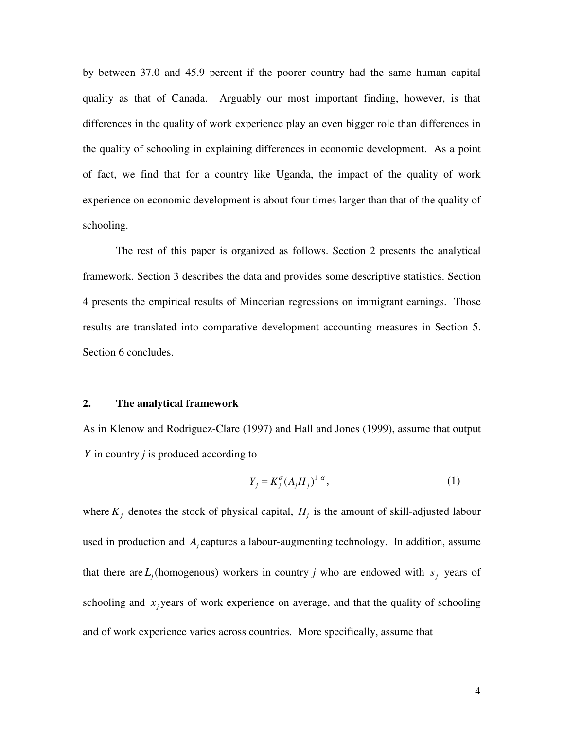by between 37.0 and 45.9 percent if the poorer country had the same human capital quality as that of Canada. Arguably our most important finding, however, is that differences in the quality of work experience play an even bigger role than differences in the quality of schooling in explaining differences in economic development. As a point of fact, we find that for a country like Uganda, the impact of the quality of work experience on economic development is about four times larger than that of the quality of schooling.

The rest of this paper is organized as follows. Section 2 presents the analytical framework. Section 3 describes the data and provides some descriptive statistics. Section 4 presents the empirical results of Mincerian regressions on immigrant earnings. Those results are translated into comparative development accounting measures in Section 5. Section 6 concludes.

#### **2. The analytical framework**

As in Klenow and Rodriguez-Clare (1997) and Hall and Jones (1999), assume that output *Y* in country *j* is produced according to

$$
Y_j = K_j^{\alpha} (A_j H_j)^{1-\alpha}, \qquad (1)
$$

where  $K_j$  denotes the stock of physical capital,  $H_j$  is the amount of skill-adjusted labour used in production and *A<sup>j</sup>* captures a labour-augmenting technology. In addition, assume that there are  $L_j$  (homogenous) workers in country *j* who are endowed with  $s_j$  years of schooling and  $x_j$  years of work experience on average, and that the quality of schooling and of work experience varies across countries. More specifically, assume that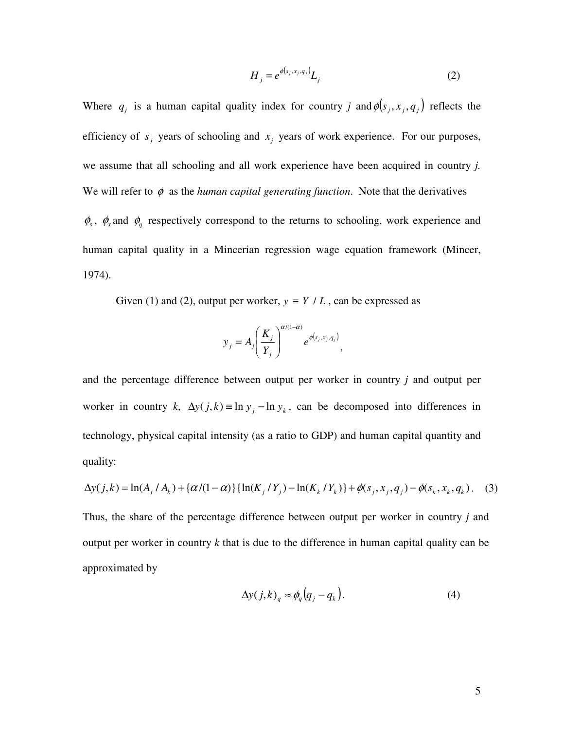$$
H_j = e^{\phi(s_j, x_j, q_j)} L_j \tag{2}
$$

Where  $q_j$  is a human capital quality index for country *j* and  $\phi(s_j, x_j, q_j)$  reflects the efficiency of  $s_j$  years of schooling and  $x_j$  years of work experience. For our purposes, we assume that all schooling and all work experience have been acquired in country *j.*  We will refer to  $\phi$  as the *human capital generating function*. Note that the derivatives  $\phi_s$ ,  $\phi_x$  and  $\phi_q$  respectively correspond to the returns to schooling, work experience and human capital quality in a Mincerian regression wage equation framework (Mincer, 1974).

Given (1) and (2), output per worker,  $y \equiv Y / L$ , can be expressed as

$$
y_j = A_j \left(\frac{K_j}{Y_j}\right)^{\alpha/(1-\alpha)} e^{\phi(s_j, x_j, q_j)},
$$

and the percentage difference between output per worker in country *j* and output per worker in country *k*,  $\Delta y(j,k) = \ln y_j - \ln y_k$ , can be decomposed into differences in technology, physical capital intensity (as a ratio to GDP) and human capital quantity and quality:

$$
\Delta y(j,k) = \ln(A_j / A_k) + \{\alpha/(1-\alpha)\}\{\ln(K_j / Y_j) - \ln(K_k / Y_k)\} + \phi(s_j, x_j, q_j) - \phi(s_k, x_k, q_k). \tag{3}
$$

Thus, the share of the percentage difference between output per worker in country *j* and output per worker in country *k* that is due to the difference in human capital quality can be approximated by

$$
\Delta y(j,k)_q \approx \phi_q \big( q_j - q_k \big). \tag{4}
$$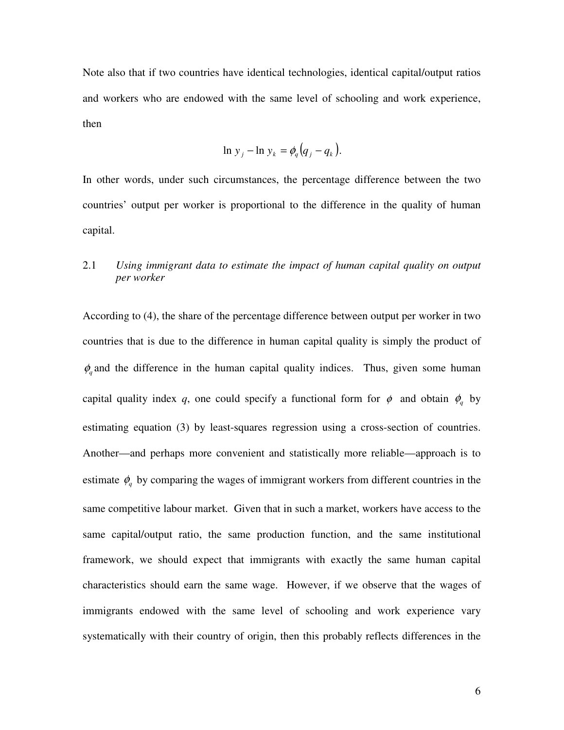Note also that if two countries have identical technologies, identical capital/output ratios and workers who are endowed with the same level of schooling and work experience, then

$$
\ln y_j - \ln y_k = \phi_q \big( q_j - q_k \big).
$$

In other words, under such circumstances, the percentage difference between the two countries' output per worker is proportional to the difference in the quality of human capital.

## 2.1 *Using immigrant data to estimate the impact of human capital quality on output per worker*

According to (4), the share of the percentage difference between output per worker in two countries that is due to the difference in human capital quality is simply the product of  $\phi_q$  and the difference in the human capital quality indices. Thus, given some human capital quality index *q*, one could specify a functional form for  $\phi$  and obtain  $\phi_q$  by estimating equation (3) by least-squares regression using a cross-section of countries. Another—and perhaps more convenient and statistically more reliable—approach is to estimate  $\phi_q$  by comparing the wages of immigrant workers from different countries in the same competitive labour market. Given that in such a market, workers have access to the same capital/output ratio, the same production function, and the same institutional framework, we should expect that immigrants with exactly the same human capital characteristics should earn the same wage. However, if we observe that the wages of immigrants endowed with the same level of schooling and work experience vary systematically with their country of origin, then this probably reflects differences in the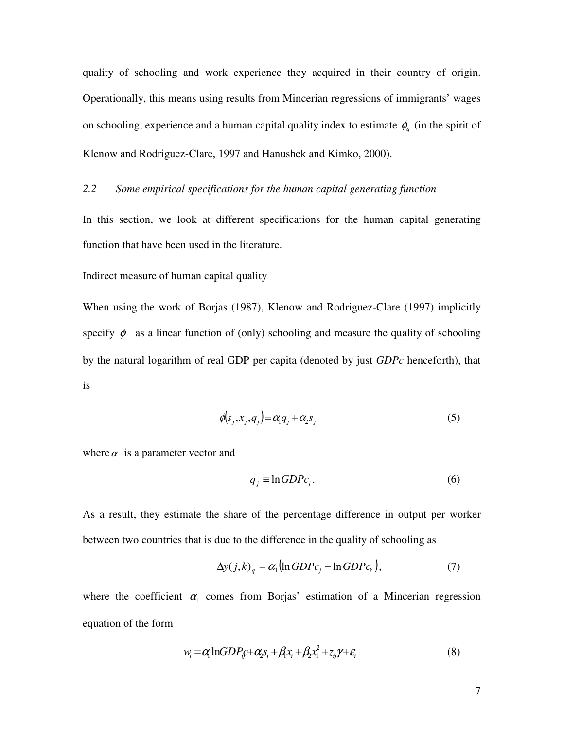quality of schooling and work experience they acquired in their country of origin. Operationally, this means using results from Mincerian regressions of immigrants' wages on schooling, experience and a human capital quality index to estimate  $\phi_q$  (in the spirit of Klenow and Rodriguez-Clare, 1997 and Hanushek and Kimko, 2000).

## *2.2 Some empirical specifications for the human capital generating function*

In this section, we look at different specifications for the human capital generating function that have been used in the literature.

#### Indirect measure of human capital quality

When using the work of Borjas (1987), Klenow and Rodriguez-Clare (1997) implicitly specify  $\phi$  as a linear function of (only) schooling and measure the quality of schooling by the natural logarithm of real GDP per capita (denoted by just *GDPc* henceforth), that is

$$
\phi(s_j, x_j, q_j) = \alpha_1 q_j + \alpha_2 s_j \tag{5}
$$

where  $\alpha$  is a parameter vector and

$$
q_j \equiv \ln GDPc_j. \tag{6}
$$

As a result, they estimate the share of the percentage difference in output per worker between two countries that is due to the difference in the quality of schooling as

$$
\Delta y(j,k)_q = \alpha_1 (\ln GDP_{c_j} - \ln GDP_{c_k}),\tag{7}
$$

where the coefficient  $\alpha_1$  comes from Borjas' estimation of a Mincerian regression equation of the form

$$
w_i = \alpha \ln GDP_i + \alpha_i s_i + \beta_i x_i + \beta_i x_i^2 + z_{ij} \gamma + \varepsilon_i
$$
\n(8)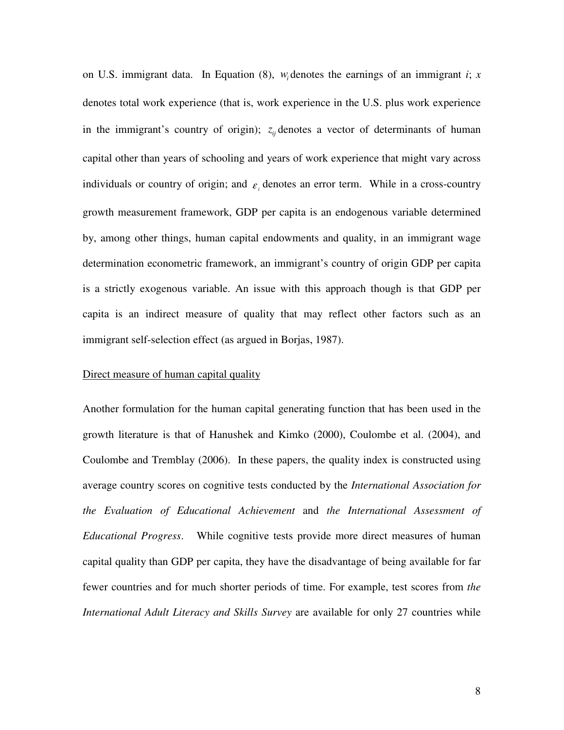on U.S. immigrant data. In Equation (8), *w<sup>i</sup>* denotes the earnings of an immigrant *i*; *x*  denotes total work experience (that is, work experience in the U.S. plus work experience in the immigrant's country of origin);  $z_{ij}$  denotes a vector of determinants of human capital other than years of schooling and years of work experience that might vary across individuals or country of origin; and  $\varepsilon$ <sub>i</sub> denotes an error term. While in a cross-country growth measurement framework, GDP per capita is an endogenous variable determined by, among other things, human capital endowments and quality, in an immigrant wage determination econometric framework, an immigrant's country of origin GDP per capita is a strictly exogenous variable. An issue with this approach though is that GDP per capita is an indirect measure of quality that may reflect other factors such as an immigrant self-selection effect (as argued in Borjas, 1987).

### Direct measure of human capital quality

Another formulation for the human capital generating function that has been used in the growth literature is that of Hanushek and Kimko (2000), Coulombe et al. (2004), and Coulombe and Tremblay (2006). In these papers, the quality index is constructed using average country scores on cognitive tests conducted by the *International Association for the Evaluation of Educational Achievement* and *the International Assessment of Educational Progress*. While cognitive tests provide more direct measures of human capital quality than GDP per capita, they have the disadvantage of being available for far fewer countries and for much shorter periods of time. For example, test scores from *the International Adult Literacy and Skills Survey* are available for only 27 countries while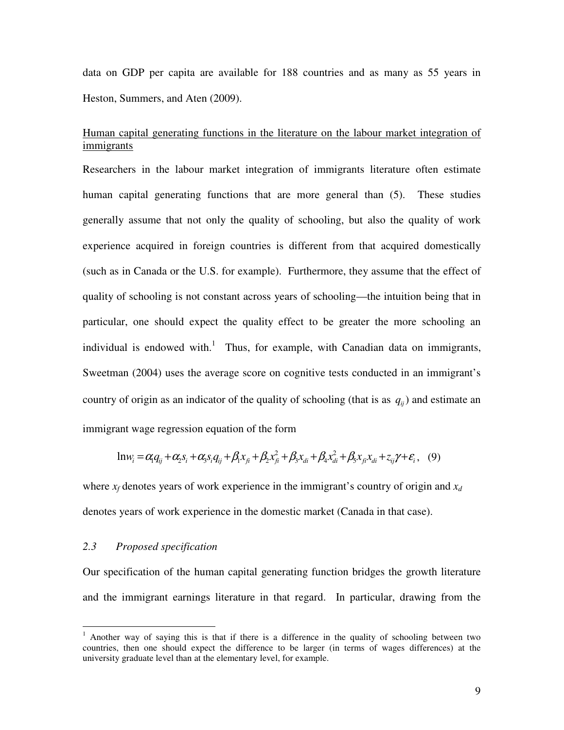data on GDP per capita are available for 188 countries and as many as 55 years in Heston, Summers, and Aten (2009).

## Human capital generating functions in the literature on the labour market integration of immigrants

Researchers in the labour market integration of immigrants literature often estimate human capital generating functions that are more general than (5). These studies generally assume that not only the quality of schooling, but also the quality of work experience acquired in foreign countries is different from that acquired domestically (such as in Canada or the U.S. for example). Furthermore, they assume that the effect of quality of schooling is not constant across years of schooling—the intuition being that in particular, one should expect the quality effect to be greater the more schooling an individual is endowed with.<sup>1</sup> Thus, for example, with Canadian data on immigrants, Sweetman (2004) uses the average score on cognitive tests conducted in an immigrant's country of origin as an indicator of the quality of schooling (that is as  $q_{ij}$ ) and estimate an immigrant wage regression equation of the form

$$
ln w_i = \alpha_1 q_{ij} + \alpha_2 s_i + \alpha_3 s_i q_{ij} + \beta_1 x_{fi} + \beta_2 x_{fi}^2 + \beta_3 x_{di} + \beta_4 x_{di}^2 + \beta_5 x_{fi} x_{di} + z_{ij} \gamma + \varepsilon_i, \quad (9)
$$

where  $x_f$  denotes years of work experience in the immigrant's country of origin and  $x_d$ denotes years of work experience in the domestic market (Canada in that case).

#### *2.3 Proposed specification*

 $\overline{a}$ 

Our specification of the human capital generating function bridges the growth literature and the immigrant earnings literature in that regard. In particular, drawing from the

<sup>&</sup>lt;sup>1</sup> Another way of saying this is that if there is a difference in the quality of schooling between two countries, then one should expect the difference to be larger (in terms of wages differences) at the university graduate level than at the elementary level, for example.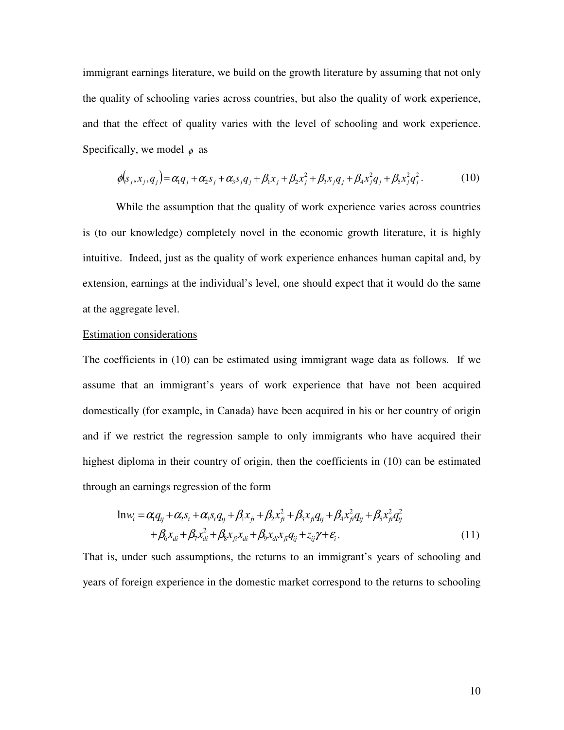immigrant earnings literature, we build on the growth literature by assuming that not only the quality of schooling varies across countries, but also the quality of work experience, and that the effect of quality varies with the level of schooling and work experience. Specifically, we model  $\phi$  as

$$
\phi(s_j, x_j, q_j) = \alpha_1 q_j + \alpha_2 s_j + \alpha_3 s_j q_j + \beta_1 x_j + \beta_2 x_j^2 + \beta_3 x_j q_j + \beta_4 x_j^2 q_j + \beta_5 x_j^2 q_j^2. \tag{10}
$$

While the assumption that the quality of work experience varies across countries is (to our knowledge) completely novel in the economic growth literature, it is highly intuitive. Indeed, just as the quality of work experience enhances human capital and, by extension, earnings at the individual's level, one should expect that it would do the same at the aggregate level.

## Estimation considerations

The coefficients in (10) can be estimated using immigrant wage data as follows. If we assume that an immigrant's years of work experience that have not been acquired domestically (for example, in Canada) have been acquired in his or her country of origin and if we restrict the regression sample to only immigrants who have acquired their highest diploma in their country of origin, then the coefficients in (10) can be estimated through an earnings regression of the form

$$
\ln w_i = \alpha_i q_{ij} + \alpha_i s_i + \alpha_i s_i q_{ij} + \beta_i x_{fi} + \beta_i x_{fi}^2 + \beta_i x_{fi} q_{ij} + \beta_i x_{fi}^2 q_{ij} + \beta_i x_{fi}^2 q_{ij}^2 + \beta_6 x_{di} + \beta_7 x_{di}^2 + \beta_8 x_{fi} x_{di} + \beta_9 x_{di} x_{fi} q_{ij} + z_{ij} \gamma + \varepsilon_i.
$$
\n(11)

That is, under such assumptions, the returns to an immigrant's years of schooling and years of foreign experience in the domestic market correspond to the returns to schooling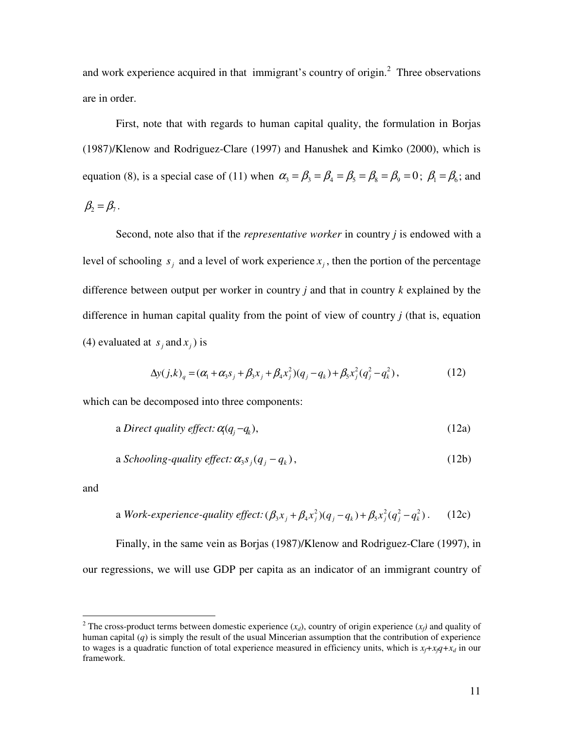and work experience acquired in that immigrant's country of origin. $<sup>2</sup>$  Three observations</sup> are in order.

First, note that with regards to human capital quality, the formulation in Borjas (1987)/Klenow and Rodriguez-Clare (1997) and Hanushek and Kimko (2000), which is equation (8), is a special case of (11) when  $\alpha_3 = \beta_3 = \beta_4 = \beta_5 = \beta_8 = \beta_9 = 0$ ;  $\beta_1 = \beta_6$ ; and  $\beta_2 = \beta_7$ .

Second, note also that if the *representative worker* in country *j* is endowed with a level of schooling  $s_j$  and a level of work experience  $x_j$ , then the portion of the percentage difference between output per worker in country *j* and that in country *k* explained by the difference in human capital quality from the point of view of country *j* (that is, equation (4) evaluated at  $s_j$  and  $x_j$ ) is

$$
\Delta y(j,k)_q = (\alpha_1 + \alpha_3 s_j + \beta_3 x_j + \beta_4 x_j^2)(q_j - q_k) + \beta_5 x_j^2 (q_j^2 - q_k^2),
$$
\n(12)

which can be decomposed into three components:

a Direct quality effect: 
$$
\alpha(q_j - q_k)
$$
, (12a)

a *Schooling-quality effect*: 
$$
\alpha_3 s_j (q_j - q_k)
$$
, 
$$
(12b)
$$

and

a Work-experience-quality effect: 
$$
(\beta_3 x_j + \beta_4 x_j^2)(q_j - q_k) + \beta_5 x_j^2 (q_j^2 - q_k^2)
$$
. (12c)

Finally, in the same vein as Borjas (1987)/Klenow and Rodriguez-Clare (1997), in our regressions, we will use GDP per capita as an indicator of an immigrant country of

<sup>&</sup>lt;sup>2</sup> The cross-product terms between domestic experience  $(x_d)$ , country of origin experience  $(x_f)$  and quality of human capital (*q*) is simply the result of the usual Mincerian assumption that the contribution of experience to wages is a quadratic function of total experience measured in efficiency units, which is  $x_t + x_t q + x_d$  in our framework.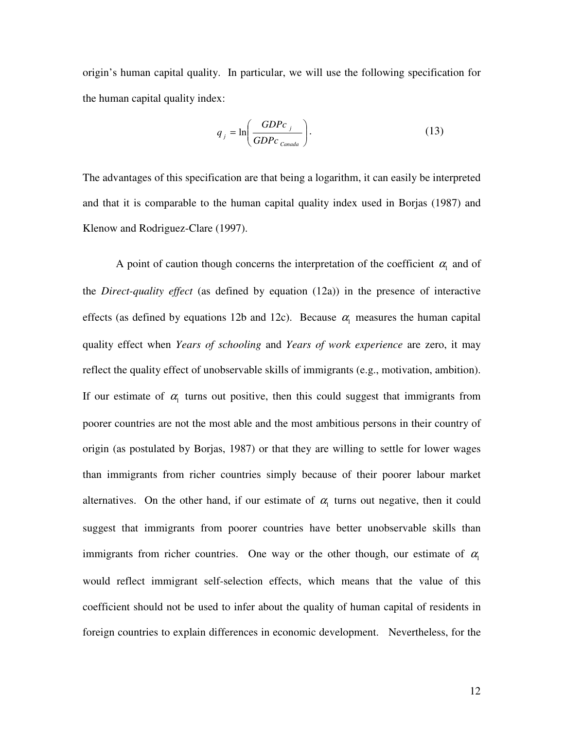origin's human capital quality. In particular, we will use the following specification for the human capital quality index:

$$
q_j = \ln\left(\frac{GDPc_j}{GDPc_{\text{Canada}}}\right). \tag{13}
$$

The advantages of this specification are that being a logarithm, it can easily be interpreted and that it is comparable to the human capital quality index used in Borjas (1987) and Klenow and Rodriguez-Clare (1997).

A point of caution though concerns the interpretation of the coefficient  $\alpha_1$  and of the *Direct-quality effect* (as defined by equation (12a)) in the presence of interactive effects (as defined by equations 12b and 12c). Because  $\alpha_1$  measures the human capital quality effect when *Years of schooling* and *Years of work experience* are zero, it may reflect the quality effect of unobservable skills of immigrants (e.g., motivation, ambition). If our estimate of  $\alpha_1$  turns out positive, then this could suggest that immigrants from poorer countries are not the most able and the most ambitious persons in their country of origin (as postulated by Borjas, 1987) or that they are willing to settle for lower wages than immigrants from richer countries simply because of their poorer labour market alternatives. On the other hand, if our estimate of  $\alpha_1$  turns out negative, then it could suggest that immigrants from poorer countries have better unobservable skills than immigrants from richer countries. One way or the other though, our estimate of  $\alpha_1$ would reflect immigrant self-selection effects, which means that the value of this coefficient should not be used to infer about the quality of human capital of residents in foreign countries to explain differences in economic development. Nevertheless, for the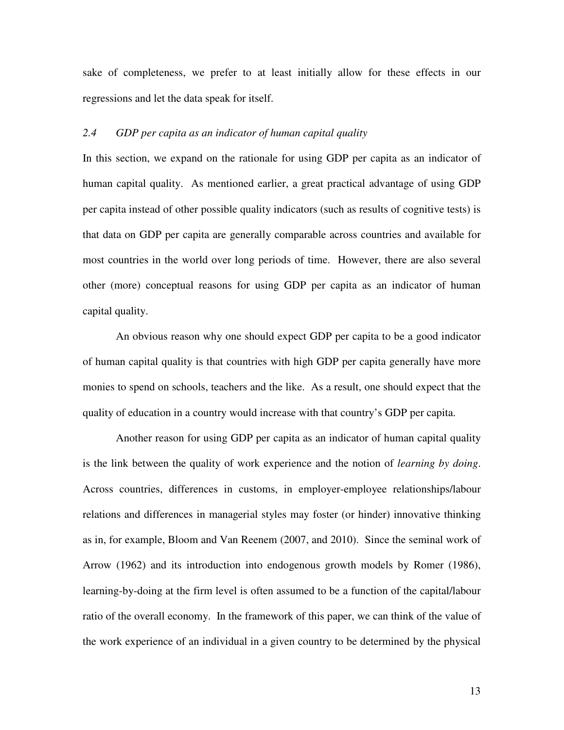sake of completeness, we prefer to at least initially allow for these effects in our regressions and let the data speak for itself.

## *2.4 GDP per capita as an indicator of human capital quality*

In this section, we expand on the rationale for using GDP per capita as an indicator of human capital quality. As mentioned earlier, a great practical advantage of using GDP per capita instead of other possible quality indicators (such as results of cognitive tests) is that data on GDP per capita are generally comparable across countries and available for most countries in the world over long periods of time. However, there are also several other (more) conceptual reasons for using GDP per capita as an indicator of human capital quality.

An obvious reason why one should expect GDP per capita to be a good indicator of human capital quality is that countries with high GDP per capita generally have more monies to spend on schools, teachers and the like. As a result, one should expect that the quality of education in a country would increase with that country's GDP per capita.

Another reason for using GDP per capita as an indicator of human capital quality is the link between the quality of work experience and the notion of *learning by doing*. Across countries, differences in customs, in employer-employee relationships/labour relations and differences in managerial styles may foster (or hinder) innovative thinking as in, for example, Bloom and Van Reenem (2007, and 2010). Since the seminal work of Arrow (1962) and its introduction into endogenous growth models by Romer (1986), learning-by-doing at the firm level is often assumed to be a function of the capital/labour ratio of the overall economy. In the framework of this paper, we can think of the value of the work experience of an individual in a given country to be determined by the physical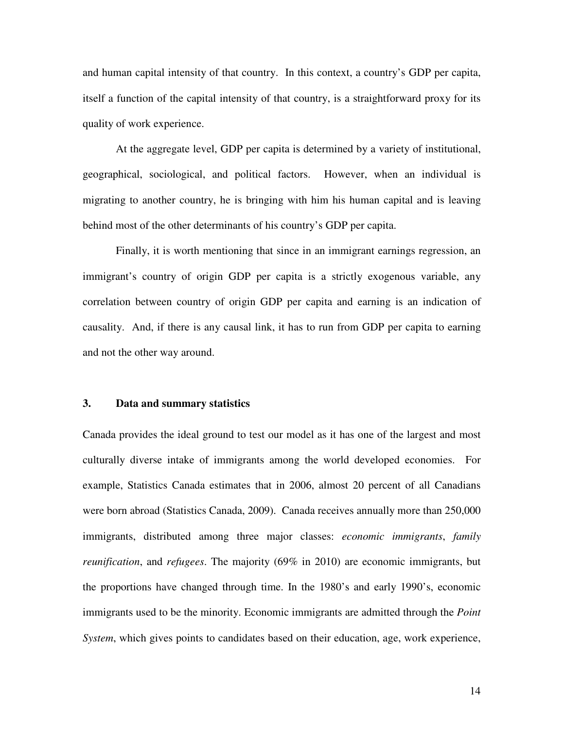and human capital intensity of that country. In this context, a country's GDP per capita, itself a function of the capital intensity of that country, is a straightforward proxy for its quality of work experience.

At the aggregate level, GDP per capita is determined by a variety of institutional, geographical, sociological, and political factors. However, when an individual is migrating to another country, he is bringing with him his human capital and is leaving behind most of the other determinants of his country's GDP per capita.

Finally, it is worth mentioning that since in an immigrant earnings regression, an immigrant's country of origin GDP per capita is a strictly exogenous variable, any correlation between country of origin GDP per capita and earning is an indication of causality. And, if there is any causal link, it has to run from GDP per capita to earning and not the other way around.

### **3. Data and summary statistics**

Canada provides the ideal ground to test our model as it has one of the largest and most culturally diverse intake of immigrants among the world developed economies. For example, Statistics Canada estimates that in 2006, almost 20 percent of all Canadians were born abroad (Statistics Canada, 2009). Canada receives annually more than 250,000 immigrants, distributed among three major classes: *economic immigrants*, *family reunification*, and *refugees*. The majority (69% in 2010) are economic immigrants, but the proportions have changed through time. In the 1980's and early 1990's, economic immigrants used to be the minority. Economic immigrants are admitted through the *Point System*, which gives points to candidates based on their education, age, work experience,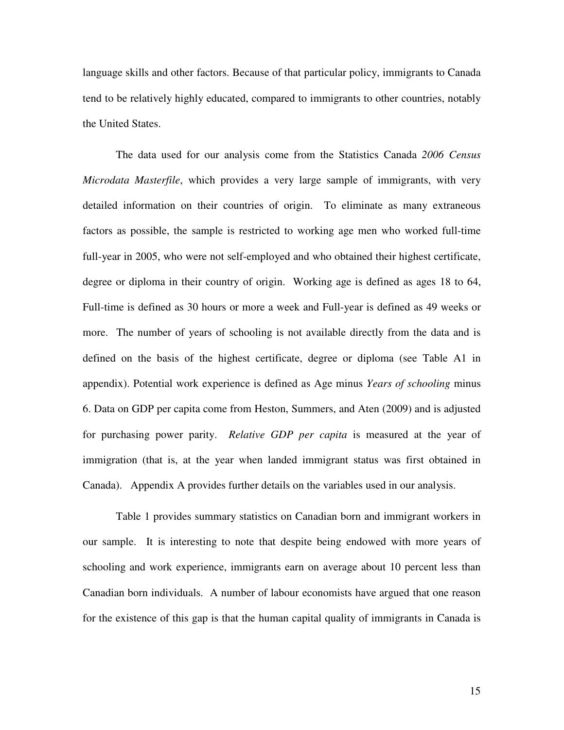language skills and other factors. Because of that particular policy, immigrants to Canada tend to be relatively highly educated, compared to immigrants to other countries, notably the United States.

The data used for our analysis come from the Statistics Canada *2006 Census Microdata Masterfile*, which provides a very large sample of immigrants, with very detailed information on their countries of origin. To eliminate as many extraneous factors as possible, the sample is restricted to working age men who worked full-time full-year in 2005, who were not self-employed and who obtained their highest certificate, degree or diploma in their country of origin. Working age is defined as ages 18 to 64, Full-time is defined as 30 hours or more a week and Full-year is defined as 49 weeks or more. The number of years of schooling is not available directly from the data and is defined on the basis of the highest certificate, degree or diploma (see Table A1 in appendix). Potential work experience is defined as Age minus *Years of schooling* minus 6. Data on GDP per capita come from Heston, Summers, and Aten (2009) and is adjusted for purchasing power parity. *Relative GDP per capita* is measured at the year of immigration (that is, at the year when landed immigrant status was first obtained in Canada). Appendix A provides further details on the variables used in our analysis.

 Table 1 provides summary statistics on Canadian born and immigrant workers in our sample. It is interesting to note that despite being endowed with more years of schooling and work experience, immigrants earn on average about 10 percent less than Canadian born individuals. A number of labour economists have argued that one reason for the existence of this gap is that the human capital quality of immigrants in Canada is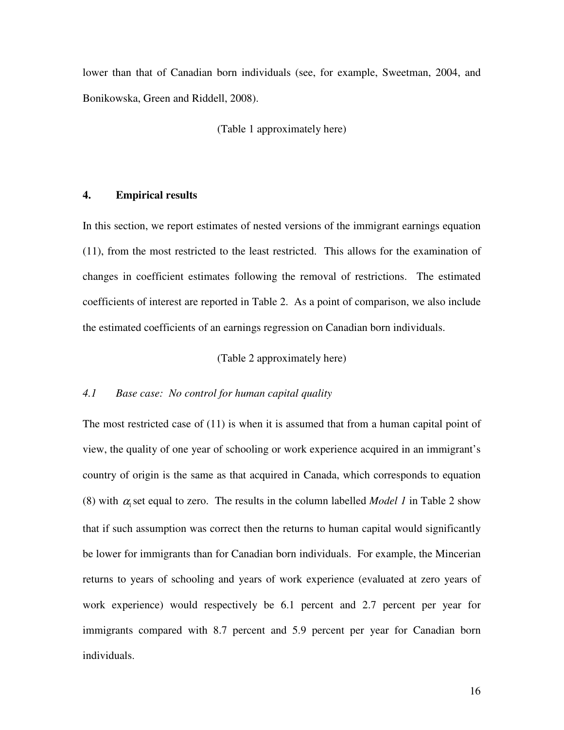lower than that of Canadian born individuals (see, for example, Sweetman, 2004, and Bonikowska, Green and Riddell, 2008).

(Table 1 approximately here)

## **4. Empirical results**

In this section, we report estimates of nested versions of the immigrant earnings equation (11), from the most restricted to the least restricted. This allows for the examination of changes in coefficient estimates following the removal of restrictions. The estimated coefficients of interest are reported in Table 2. As a point of comparison, we also include the estimated coefficients of an earnings regression on Canadian born individuals.

#### (Table 2 approximately here)

#### *4.1 Base case: No control for human capital quality*

The most restricted case of (11) is when it is assumed that from a human capital point of view, the quality of one year of schooling or work experience acquired in an immigrant's country of origin is the same as that acquired in Canada, which corresponds to equation (8) with  $\alpha_1$  set equal to zero. The results in the column labelled *Model 1* in Table 2 show that if such assumption was correct then the returns to human capital would significantly be lower for immigrants than for Canadian born individuals. For example, the Mincerian returns to years of schooling and years of work experience (evaluated at zero years of work experience) would respectively be 6.1 percent and 2.7 percent per year for immigrants compared with 8.7 percent and 5.9 percent per year for Canadian born individuals.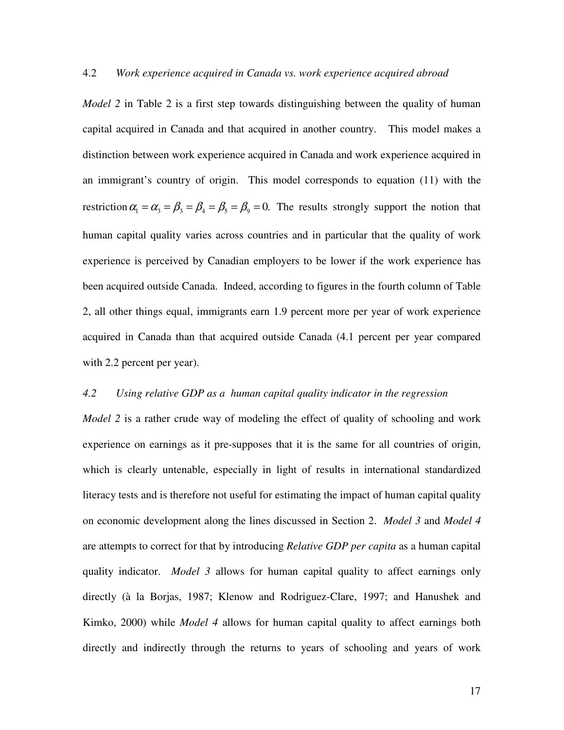### 4.2 *Work experience acquired in Canada vs. work experience acquired abroad*

*Model 2* in Table 2 is a first step towards distinguishing between the quality of human capital acquired in Canada and that acquired in another country. This model makes a distinction between work experience acquired in Canada and work experience acquired in an immigrant's country of origin. This model corresponds to equation (11) with the restriction  $\alpha_1 = \alpha_3 = \beta_3 = \beta_4 = \beta_5 = \beta_9 = 0$ . The results strongly support the notion that human capital quality varies across countries and in particular that the quality of work experience is perceived by Canadian employers to be lower if the work experience has been acquired outside Canada. Indeed, according to figures in the fourth column of Table 2, all other things equal, immigrants earn 1.9 percent more per year of work experience acquired in Canada than that acquired outside Canada (4.1 percent per year compared with 2.2 percent per year).

#### *4.2 Using relative GDP as a human capital quality indicator in the regression*

*Model 2* is a rather crude way of modeling the effect of quality of schooling and work experience on earnings as it pre-supposes that it is the same for all countries of origin, which is clearly untenable, especially in light of results in international standardized literacy tests and is therefore not useful for estimating the impact of human capital quality on economic development along the lines discussed in Section 2. *Model 3* and *Model 4* are attempts to correct for that by introducing *Relative GDP per capita* as a human capital quality indicator. *Model 3* allows for human capital quality to affect earnings only directly (à la Borjas, 1987; Klenow and Rodriguez-Clare, 1997; and Hanushek and Kimko, 2000) while *Model 4* allows for human capital quality to affect earnings both directly and indirectly through the returns to years of schooling and years of work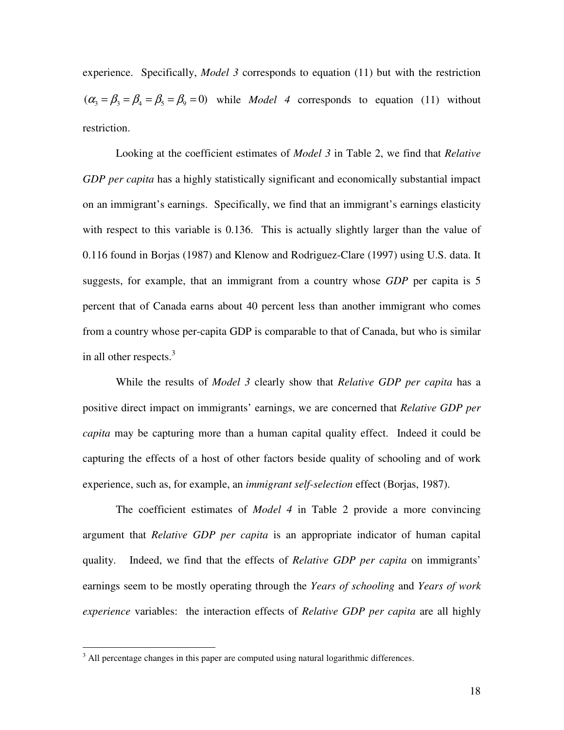experience. Specifically, *Model 3* corresponds to equation (11) but with the restriction  $(\alpha_3 = \beta_3 = \beta_4 = \beta_5 = \beta_9 = 0)$  while *Model 4* corresponds to equation (11) without restriction.

 Looking at the coefficient estimates of *Model 3* in Table 2, we find that *Relative GDP per capita* has a highly statistically significant and economically substantial impact on an immigrant's earnings. Specifically, we find that an immigrant's earnings elasticity with respect to this variable is 0.136. This is actually slightly larger than the value of 0.116 found in Borjas (1987) and Klenow and Rodriguez-Clare (1997) using U.S. data. It suggests, for example, that an immigrant from a country whose *GDP* per capita is 5 percent that of Canada earns about 40 percent less than another immigrant who comes from a country whose per-capita GDP is comparable to that of Canada, but who is similar in all other respects. $3$ 

 While the results of *Model 3* clearly show that *Relative GDP per capita* has a positive direct impact on immigrants' earnings, we are concerned that *Relative GDP per capita* may be capturing more than a human capital quality effect. Indeed it could be capturing the effects of a host of other factors beside quality of schooling and of work experience, such as, for example, an *immigrant self-selection* effect (Borjas, 1987).

The coefficient estimates of *Model 4* in Table 2 provide a more convincing argument that *Relative GDP per capita* is an appropriate indicator of human capital quality. Indeed, we find that the effects of *Relative GDP per capita* on immigrants' earnings seem to be mostly operating through the *Years of schooling* and *Years of work experience* variables: the interaction effects of *Relative GDP per capita* are all highly

<sup>&</sup>lt;sup>3</sup> All percentage changes in this paper are computed using natural logarithmic differences.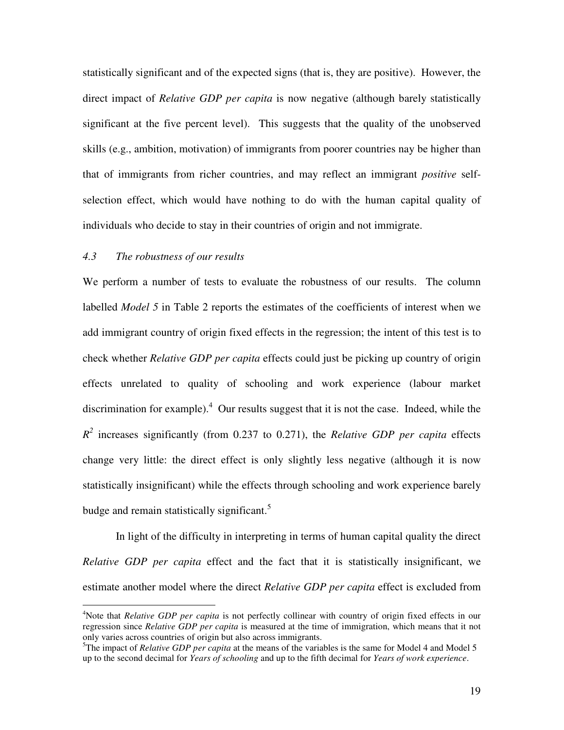statistically significant and of the expected signs (that is, they are positive). However, the direct impact of *Relative GDP per capita* is now negative (although barely statistically significant at the five percent level). This suggests that the quality of the unobserved skills (e.g., ambition, motivation) of immigrants from poorer countries nay be higher than that of immigrants from richer countries, and may reflect an immigrant *positive* selfselection effect, which would have nothing to do with the human capital quality of individuals who decide to stay in their countries of origin and not immigrate.

#### *4.3 The robustness of our results*

 $\overline{a}$ 

We perform a number of tests to evaluate the robustness of our results. The column labelled *Model 5* in Table 2 reports the estimates of the coefficients of interest when we add immigrant country of origin fixed effects in the regression; the intent of this test is to check whether *Relative GDP per capita* effects could just be picking up country of origin effects unrelated to quality of schooling and work experience (labour market discrimination for example). $4$  Our results suggest that it is not the case. Indeed, while the  $R^2$  increases significantly (from 0.237 to 0.271), the *Relative GDP per capita* effects change very little: the direct effect is only slightly less negative (although it is now statistically insignificant) while the effects through schooling and work experience barely budge and remain statistically significant. $5$ 

In light of the difficulty in interpreting in terms of human capital quality the direct *Relative GDP per capita* effect and the fact that it is statistically insignificant, we estimate another model where the direct *Relative GDP per capita* effect is excluded from

<sup>&</sup>lt;sup>4</sup>Note that *Relative GDP per capita* is not perfectly collinear with country of origin fixed effects in our regression since *Relative GDP per capita* is measured at the time of immigration, which means that it not only varies across countries of origin but also across immigrants.

<sup>&</sup>lt;sup>5</sup>The impact of *Relative GDP per capita* at the means of the variables is the same for Model 4 and Model 5 up to the second decimal for *Years of schooling* and up to the fifth decimal for *Years of work experience*.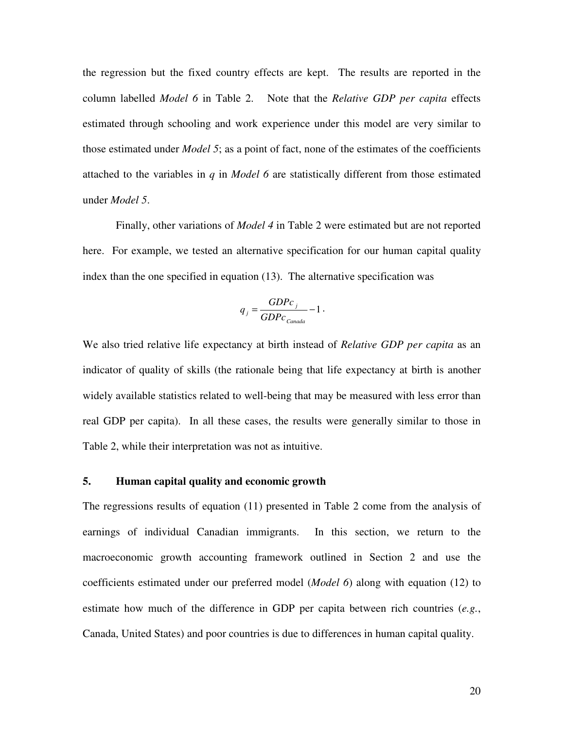the regression but the fixed country effects are kept. The results are reported in the column labelled *Model 6* in Table 2. Note that the *Relative GDP per capita* effects estimated through schooling and work experience under this model are very similar to those estimated under *Model 5*; as a point of fact, none of the estimates of the coefficients attached to the variables in *q* in *Model 6* are statistically different from those estimated under *Model 5*.

Finally, other variations of *Model 4* in Table 2 were estimated but are not reported here. For example, we tested an alternative specification for our human capital quality index than the one specified in equation (13). The alternative specification was

$$
q_j = \frac{GDPc_j}{GDPc_{canada}} - 1.
$$

We also tried relative life expectancy at birth instead of *Relative GDP per capita* as an indicator of quality of skills (the rationale being that life expectancy at birth is another widely available statistics related to well-being that may be measured with less error than real GDP per capita). In all these cases, the results were generally similar to those in Table 2, while their interpretation was not as intuitive.

#### **5. Human capital quality and economic growth**

The regressions results of equation (11) presented in Table 2 come from the analysis of earnings of individual Canadian immigrants. In this section, we return to the macroeconomic growth accounting framework outlined in Section 2 and use the coefficients estimated under our preferred model (*Model 6*) along with equation (12) to estimate how much of the difference in GDP per capita between rich countries (*e.g.*, Canada, United States) and poor countries is due to differences in human capital quality.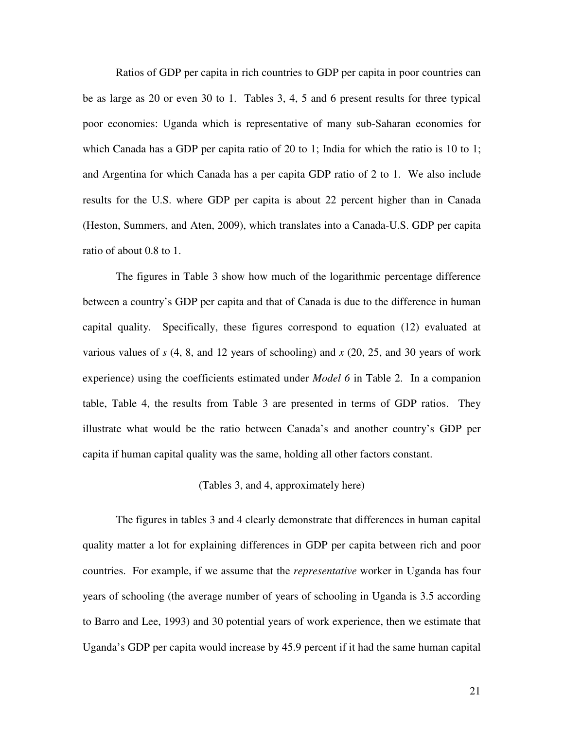Ratios of GDP per capita in rich countries to GDP per capita in poor countries can be as large as 20 or even 30 to 1. Tables 3, 4, 5 and 6 present results for three typical poor economies: Uganda which is representative of many sub-Saharan economies for which Canada has a GDP per capita ratio of 20 to 1; India for which the ratio is 10 to 1; and Argentina for which Canada has a per capita GDP ratio of 2 to 1. We also include results for the U.S. where GDP per capita is about 22 percent higher than in Canada (Heston, Summers, and Aten, 2009), which translates into a Canada-U.S. GDP per capita ratio of about 0.8 to 1.

The figures in Table 3 show how much of the logarithmic percentage difference between a country's GDP per capita and that of Canada is due to the difference in human capital quality. Specifically, these figures correspond to equation (12) evaluated at various values of *s* (4, 8, and 12 years of schooling) and *x* (20, 25, and 30 years of work experience) using the coefficients estimated under *Model 6* in Table 2. In a companion table, Table 4, the results from Table 3 are presented in terms of GDP ratios. They illustrate what would be the ratio between Canada's and another country's GDP per capita if human capital quality was the same, holding all other factors constant.

### (Tables 3, and 4, approximately here)

The figures in tables 3 and 4 clearly demonstrate that differences in human capital quality matter a lot for explaining differences in GDP per capita between rich and poor countries. For example, if we assume that the *representative* worker in Uganda has four years of schooling (the average number of years of schooling in Uganda is 3.5 according to Barro and Lee, 1993) and 30 potential years of work experience, then we estimate that Uganda's GDP per capita would increase by 45.9 percent if it had the same human capital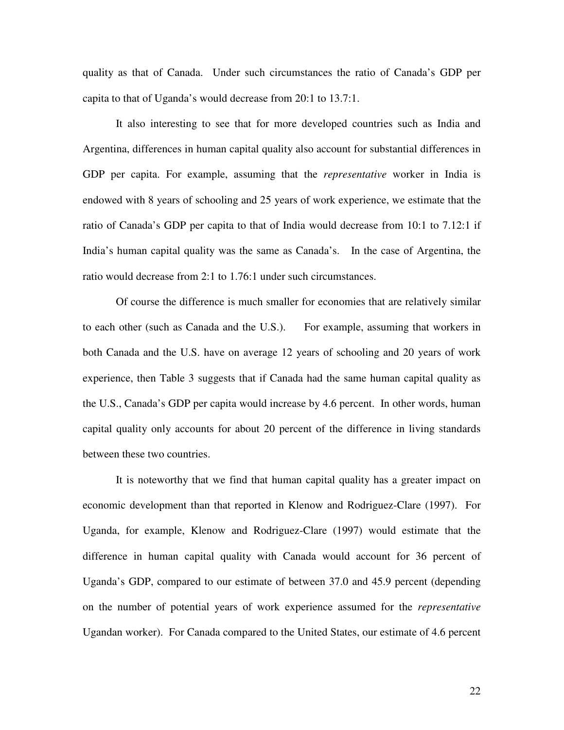quality as that of Canada. Under such circumstances the ratio of Canada's GDP per capita to that of Uganda's would decrease from 20:1 to 13.7:1.

It also interesting to see that for more developed countries such as India and Argentina, differences in human capital quality also account for substantial differences in GDP per capita. For example, assuming that the *representative* worker in India is endowed with 8 years of schooling and 25 years of work experience, we estimate that the ratio of Canada's GDP per capita to that of India would decrease from 10:1 to 7.12:1 if India's human capital quality was the same as Canada's. In the case of Argentina, the ratio would decrease from 2:1 to 1.76:1 under such circumstances.

Of course the difference is much smaller for economies that are relatively similar to each other (such as Canada and the U.S.). For example, assuming that workers in both Canada and the U.S. have on average 12 years of schooling and 20 years of work experience, then Table 3 suggests that if Canada had the same human capital quality as the U.S., Canada's GDP per capita would increase by 4.6 percent. In other words, human capital quality only accounts for about 20 percent of the difference in living standards between these two countries.

 It is noteworthy that we find that human capital quality has a greater impact on economic development than that reported in Klenow and Rodriguez-Clare (1997). For Uganda, for example, Klenow and Rodriguez-Clare (1997) would estimate that the difference in human capital quality with Canada would account for 36 percent of Uganda's GDP, compared to our estimate of between 37.0 and 45.9 percent (depending on the number of potential years of work experience assumed for the *representative* Ugandan worker). For Canada compared to the United States, our estimate of 4.6 percent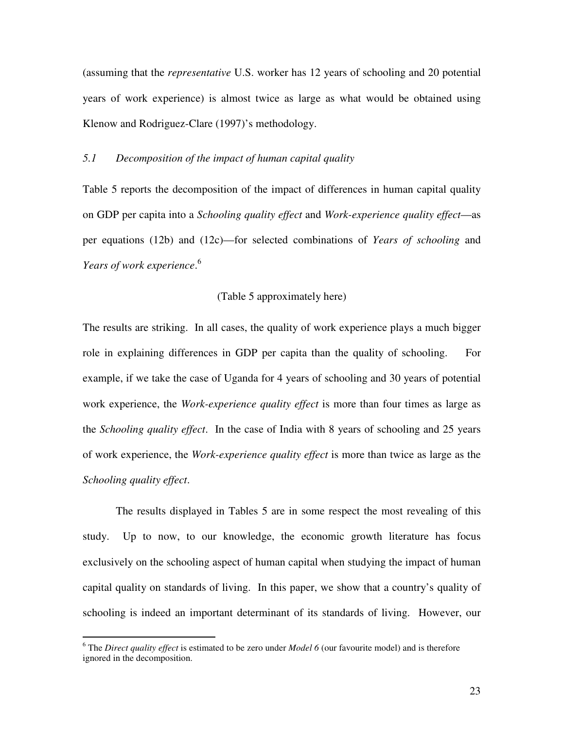(assuming that the *representative* U.S. worker has 12 years of schooling and 20 potential years of work experience) is almost twice as large as what would be obtained using Klenow and Rodriguez-Clare (1997)'s methodology.

## *5.1 Decomposition of the impact of human capital quality*

Table 5 reports the decomposition of the impact of differences in human capital quality on GDP per capita into a *Schooling quality effect* and *Work-experience quality effect*—as per equations (12b) and (12c)—for selected combinations of *Years of schooling* and *Years of work experience*. 6

#### (Table 5 approximately here)

The results are striking. In all cases, the quality of work experience plays a much bigger role in explaining differences in GDP per capita than the quality of schooling. For example, if we take the case of Uganda for 4 years of schooling and 30 years of potential work experience, the *Work-experience quality effect* is more than four times as large as the *Schooling quality effect*. In the case of India with 8 years of schooling and 25 years of work experience, the *Work-experience quality effect* is more than twice as large as the *Schooling quality effect*.

The results displayed in Tables 5 are in some respect the most revealing of this study. Up to now, to our knowledge, the economic growth literature has focus exclusively on the schooling aspect of human capital when studying the impact of human capital quality on standards of living. In this paper, we show that a country's quality of schooling is indeed an important determinant of its standards of living. However, our

 $\overline{a}$ 

<sup>&</sup>lt;sup>6</sup> The *Direct quality effect* is estimated to be zero under *Model 6* (our favourite model) and is therefore ignored in the decomposition.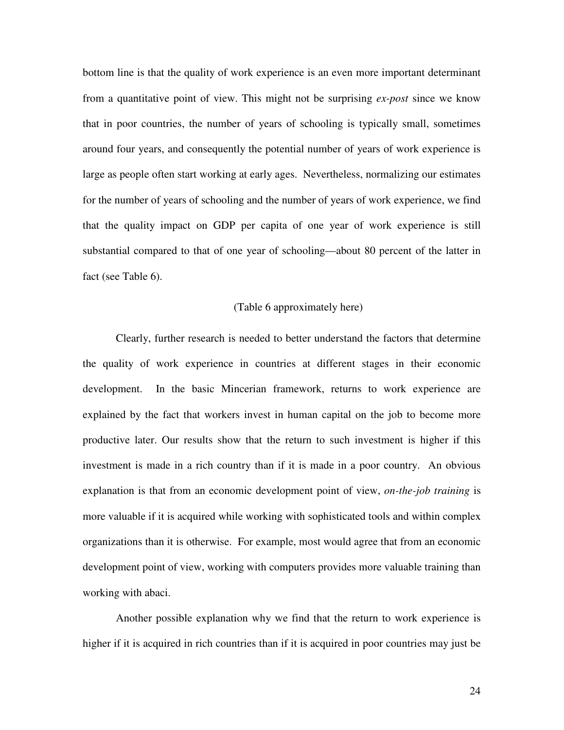bottom line is that the quality of work experience is an even more important determinant from a quantitative point of view. This might not be surprising *ex-post* since we know that in poor countries, the number of years of schooling is typically small, sometimes around four years, and consequently the potential number of years of work experience is large as people often start working at early ages. Nevertheless, normalizing our estimates for the number of years of schooling and the number of years of work experience, we find that the quality impact on GDP per capita of one year of work experience is still substantial compared to that of one year of schooling—about 80 percent of the latter in fact (see Table 6).

#### (Table 6 approximately here)

Clearly, further research is needed to better understand the factors that determine the quality of work experience in countries at different stages in their economic development. In the basic Mincerian framework, returns to work experience are explained by the fact that workers invest in human capital on the job to become more productive later. Our results show that the return to such investment is higher if this investment is made in a rich country than if it is made in a poor country. An obvious explanation is that from an economic development point of view, *on-the-job training* is more valuable if it is acquired while working with sophisticated tools and within complex organizations than it is otherwise. For example, most would agree that from an economic development point of view, working with computers provides more valuable training than working with abaci.

Another possible explanation why we find that the return to work experience is higher if it is acquired in rich countries than if it is acquired in poor countries may just be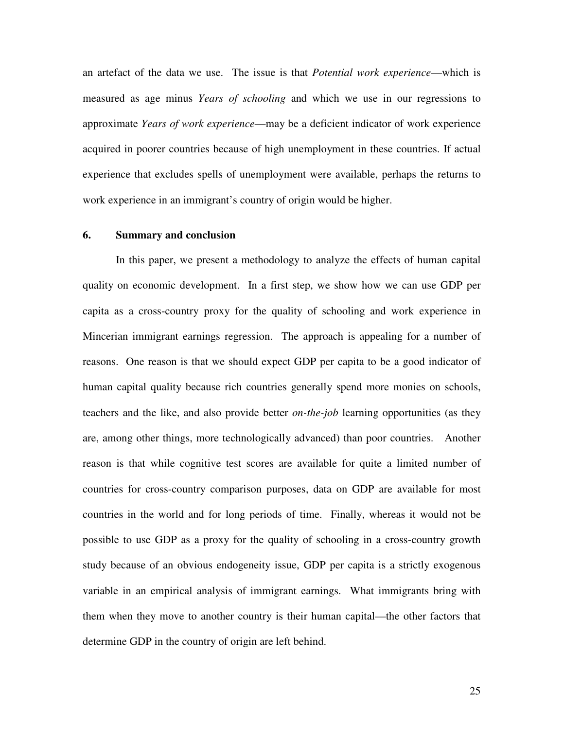an artefact of the data we use. The issue is that *Potential work experience*—which is measured as age minus *Years of schooling* and which we use in our regressions to approximate *Years of work experience*—may be a deficient indicator of work experience acquired in poorer countries because of high unemployment in these countries. If actual experience that excludes spells of unemployment were available, perhaps the returns to work experience in an immigrant's country of origin would be higher.

#### **6. Summary and conclusion**

In this paper, we present a methodology to analyze the effects of human capital quality on economic development. In a first step, we show how we can use GDP per capita as a cross-country proxy for the quality of schooling and work experience in Mincerian immigrant earnings regression. The approach is appealing for a number of reasons. One reason is that we should expect GDP per capita to be a good indicator of human capital quality because rich countries generally spend more monies on schools, teachers and the like, and also provide better *on-the-job* learning opportunities (as they are, among other things, more technologically advanced) than poor countries. Another reason is that while cognitive test scores are available for quite a limited number of countries for cross-country comparison purposes, data on GDP are available for most countries in the world and for long periods of time. Finally, whereas it would not be possible to use GDP as a proxy for the quality of schooling in a cross-country growth study because of an obvious endogeneity issue, GDP per capita is a strictly exogenous variable in an empirical analysis of immigrant earnings. What immigrants bring with them when they move to another country is their human capital—the other factors that determine GDP in the country of origin are left behind.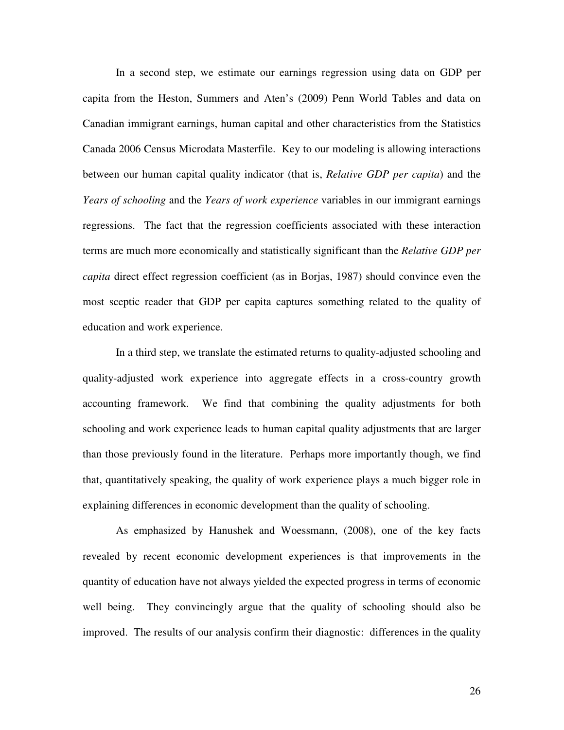In a second step, we estimate our earnings regression using data on GDP per capita from the Heston, Summers and Aten's (2009) Penn World Tables and data on Canadian immigrant earnings, human capital and other characteristics from the Statistics Canada 2006 Census Microdata Masterfile. Key to our modeling is allowing interactions between our human capital quality indicator (that is, *Relative GDP per capita*) and the *Years of schooling* and the *Years of work experience* variables in our immigrant earnings regressions. The fact that the regression coefficients associated with these interaction terms are much more economically and statistically significant than the *Relative GDP per capita* direct effect regression coefficient (as in Borjas, 1987) should convince even the most sceptic reader that GDP per capita captures something related to the quality of education and work experience.

 In a third step, we translate the estimated returns to quality-adjusted schooling and quality-adjusted work experience into aggregate effects in a cross-country growth accounting framework. We find that combining the quality adjustments for both schooling and work experience leads to human capital quality adjustments that are larger than those previously found in the literature. Perhaps more importantly though, we find that, quantitatively speaking, the quality of work experience plays a much bigger role in explaining differences in economic development than the quality of schooling.

 As emphasized by Hanushek and Woessmann, (2008), one of the key facts revealed by recent economic development experiences is that improvements in the quantity of education have not always yielded the expected progress in terms of economic well being. They convincingly argue that the quality of schooling should also be improved. The results of our analysis confirm their diagnostic: differences in the quality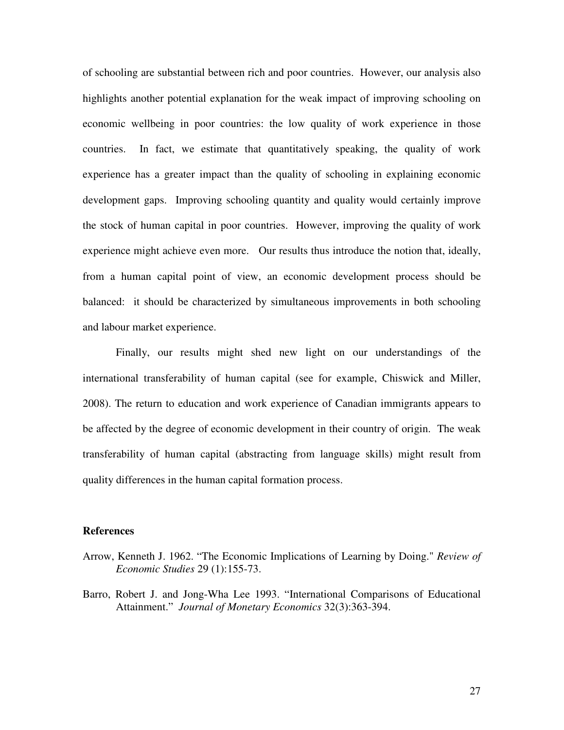of schooling are substantial between rich and poor countries. However, our analysis also highlights another potential explanation for the weak impact of improving schooling on economic wellbeing in poor countries: the low quality of work experience in those countries. In fact, we estimate that quantitatively speaking, the quality of work experience has a greater impact than the quality of schooling in explaining economic development gaps. Improving schooling quantity and quality would certainly improve the stock of human capital in poor countries. However, improving the quality of work experience might achieve even more. Our results thus introduce the notion that, ideally, from a human capital point of view, an economic development process should be balanced: it should be characterized by simultaneous improvements in both schooling and labour market experience.

Finally, our results might shed new light on our understandings of the international transferability of human capital (see for example, Chiswick and Miller, 2008). The return to education and work experience of Canadian immigrants appears to be affected by the degree of economic development in their country of origin. The weak transferability of human capital (abstracting from language skills) might result from quality differences in the human capital formation process.

### **References**

- Arrow, Kenneth J. 1962. "The Economic Implications of Learning by Doing." *Review of Economic Studies* 29 (1):155-73.
- Barro, Robert J. and Jong-Wha Lee 1993. "International Comparisons of Educational Attainment." *Journal of Monetary Economics* 32(3):363-394.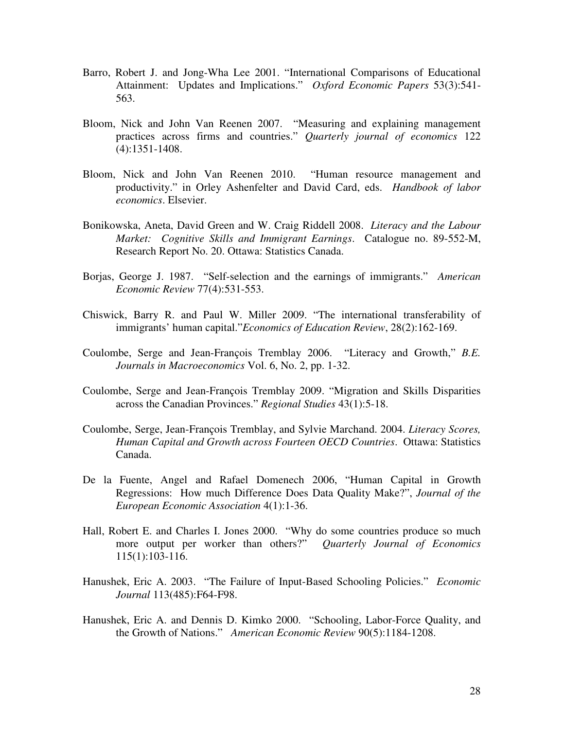- Barro, Robert J. and Jong-Wha Lee 2001. "International Comparisons of Educational Attainment: Updates and Implications." *Oxford Economic Papers* 53(3):541- 563.
- Bloom, Nick and John Van Reenen 2007. "Measuring and explaining management practices across firms and countries." *Quarterly journal of economics* 122 (4):1351-1408.
- Bloom, Nick and John Van Reenen 2010. "Human resource management and productivity." in Orley Ashenfelter and David Card, eds. *Handbook of labor economics*. Elsevier.
- Bonikowska, Aneta, David Green and W. Craig Riddell 2008. *Literacy and the Labour Market: Cognitive Skills and Immigrant Earnings*. Catalogue no. 89-552-M, Research Report No. 20. Ottawa: Statistics Canada.
- Borjas, George J. 1987. "Self-selection and the earnings of immigrants." *American Economic Review* 77(4):531-553.
- Chiswick, Barry R. and Paul W. Miller 2009. "The international transferability of immigrants' human capital."*Economics of Education Review*, 28(2):162-169.
- Coulombe, Serge and Jean-François Tremblay 2006. "Literacy and Growth," *B.E. Journals in Macroeconomics* Vol. 6, No. 2, pp. 1-32.
- Coulombe, Serge and Jean-François Tremblay 2009. "Migration and Skills Disparities across the Canadian Provinces." *Regional Studies* 43(1):5-18.
- Coulombe, Serge, Jean-François Tremblay, and Sylvie Marchand. 2004. *Literacy Scores, Human Capital and Growth across Fourteen OECD Countries*. Ottawa: Statistics Canada.
- De la Fuente, Angel and Rafael Domenech 2006, "Human Capital in Growth Regressions: How much Difference Does Data Quality Make?", *Journal of the European Economic Association* 4(1):1-36.
- Hall, Robert E. and Charles I. Jones 2000. "Why do some countries produce so much more output per worker than others?" *Quarterly Journal of Economics* 115(1):103-116.
- Hanushek, Eric A. 2003. "The Failure of Input-Based Schooling Policies." *Economic Journal* 113(485):F64-F98.
- Hanushek, Eric A. and Dennis D. Kimko 2000. "Schooling, Labor-Force Quality, and the Growth of Nations." *American Economic Review* 90(5):1184-1208.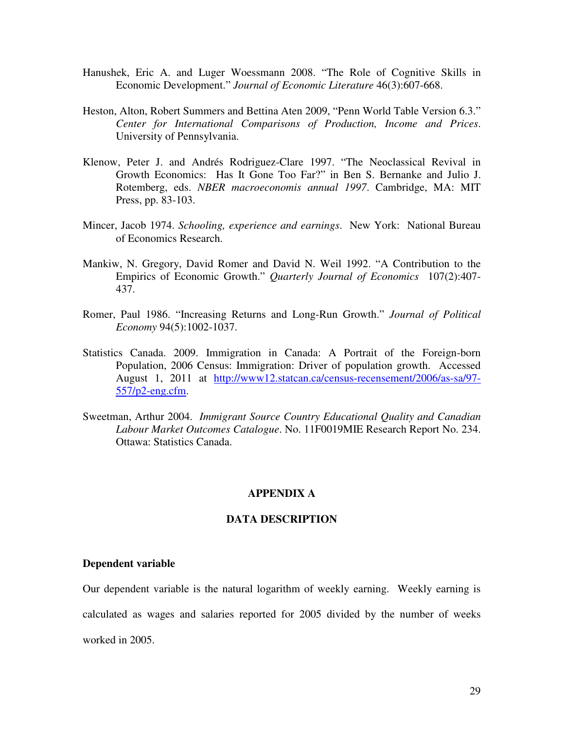- Hanushek, Eric A. and Luger Woessmann 2008. "The Role of Cognitive Skills in Economic Development." *Journal of Economic Literature* 46(3):607-668.
- Heston, Alton, Robert Summers and Bettina Aten 2009, "Penn World Table Version 6.3." *Center for International Comparisons of Production, Income and Prices*. University of Pennsylvania.
- Klenow, Peter J. and Andrés Rodriguez-Clare 1997. "The Neoclassical Revival in Growth Economics: Has It Gone Too Far?" in Ben S. Bernanke and Julio J. Rotemberg, eds. *NBER macroeconomis annual 1997*. Cambridge, MA: MIT Press, pp. 83-103.
- Mincer, Jacob 1974. *Schooling, experience and earnings*. New York: National Bureau of Economics Research.
- Mankiw, N. Gregory, David Romer and David N. Weil 1992. "A Contribution to the Empirics of Economic Growth." *Quarterly Journal of Economics* 107(2):407- 437.
- Romer, Paul 1986. "Increasing Returns and Long-Run Growth." *Journal of Political Economy* 94(5):1002-1037.
- Statistics Canada. 2009. Immigration in Canada: A Portrait of the Foreign-born Population, 2006 Census: Immigration: Driver of population growth. Accessed August 1, 2011 at http://www12.statcan.ca/census-recensement/2006/as-sa/97- 557/p2-eng.cfm.
- Sweetman, Arthur 2004. *Immigrant Source Country Educational Quality and Canadian Labour Market Outcomes Catalogue*. No. 11F0019MIE Research Report No. 234. Ottawa: Statistics Canada.

### **APPENDIX A**

#### **DATA DESCRIPTION**

#### **Dependent variable**

Our dependent variable is the natural logarithm of weekly earning. Weekly earning is calculated as wages and salaries reported for 2005 divided by the number of weeks worked in 2005.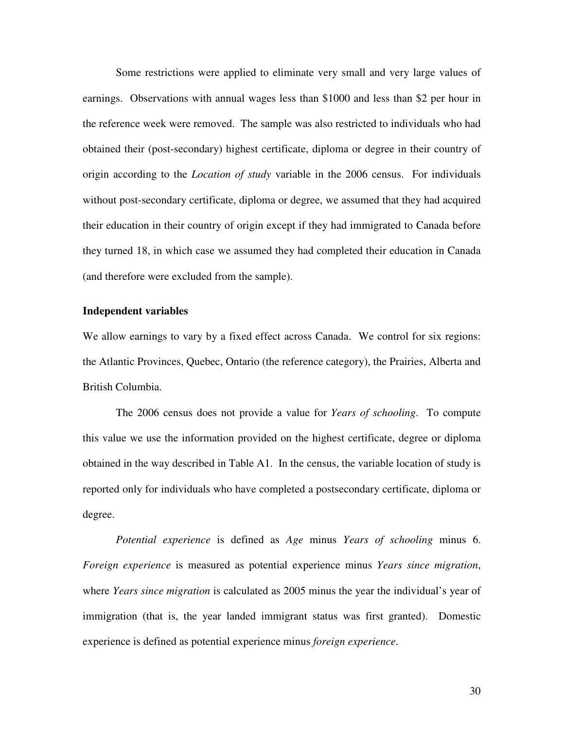Some restrictions were applied to eliminate very small and very large values of earnings. Observations with annual wages less than \$1000 and less than \$2 per hour in the reference week were removed. The sample was also restricted to individuals who had obtained their (post-secondary) highest certificate, diploma or degree in their country of origin according to the *Location of study* variable in the 2006 census. For individuals without post-secondary certificate, diploma or degree, we assumed that they had acquired their education in their country of origin except if they had immigrated to Canada before they turned 18, in which case we assumed they had completed their education in Canada (and therefore were excluded from the sample).

#### **Independent variables**

We allow earnings to vary by a fixed effect across Canada. We control for six regions: the Atlantic Provinces, Quebec, Ontario (the reference category), the Prairies, Alberta and British Columbia.

The 2006 census does not provide a value for *Years of schooling*. To compute this value we use the information provided on the highest certificate, degree or diploma obtained in the way described in Table A1. In the census, the variable location of study is reported only for individuals who have completed a postsecondary certificate, diploma or degree.

*Potential experience* is defined as *Age* minus *Years of schooling* minus 6. *Foreign experience* is measured as potential experience minus *Years since migration*, where *Years since migration* is calculated as 2005 minus the year the individual's year of immigration (that is, the year landed immigrant status was first granted). Domestic experience is defined as potential experience minus *foreign experience*.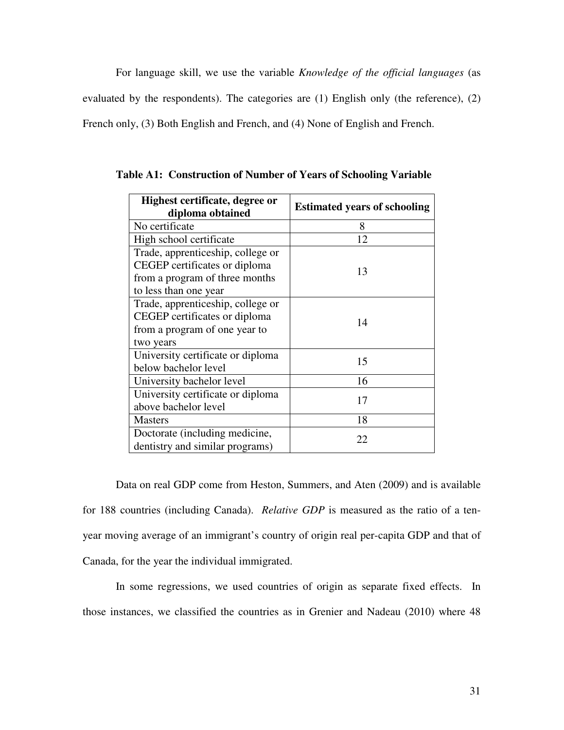For language skill, we use the variable *Knowledge of the official languages* (as evaluated by the respondents). The categories are (1) English only (the reference), (2) French only, (3) Both English and French, and (4) None of English and French.

| Highest certificate, degree or<br>diploma obtained | <b>Estimated years of schooling</b> |
|----------------------------------------------------|-------------------------------------|
| No certificate                                     | 8                                   |
| High school certificate                            | 12                                  |
| Trade, apprenticeship, college or                  |                                     |
| CEGEP certificates or diploma                      | 13                                  |
| from a program of three months                     |                                     |
| to less than one year                              |                                     |
| Trade, apprenticeship, college or                  |                                     |
| CEGEP certificates or diploma                      | 14                                  |
| from a program of one year to                      |                                     |
| two years                                          |                                     |
| University certificate or diploma                  | 15                                  |
| below bachelor level                               |                                     |
| University bachelor level                          | 16                                  |
| University certificate or diploma                  | 17                                  |
| above bachelor level                               |                                     |
| <b>Masters</b>                                     | 18                                  |
| Doctorate (including medicine,                     | 22                                  |
| dentistry and similar programs)                    |                                     |

**Table A1: Construction of Number of Years of Schooling Variable** 

Data on real GDP come from Heston, Summers, and Aten (2009) and is available for 188 countries (including Canada). *Relative GDP* is measured as the ratio of a tenyear moving average of an immigrant's country of origin real per-capita GDP and that of Canada, for the year the individual immigrated.

In some regressions, we used countries of origin as separate fixed effects. In those instances, we classified the countries as in Grenier and Nadeau (2010) where 48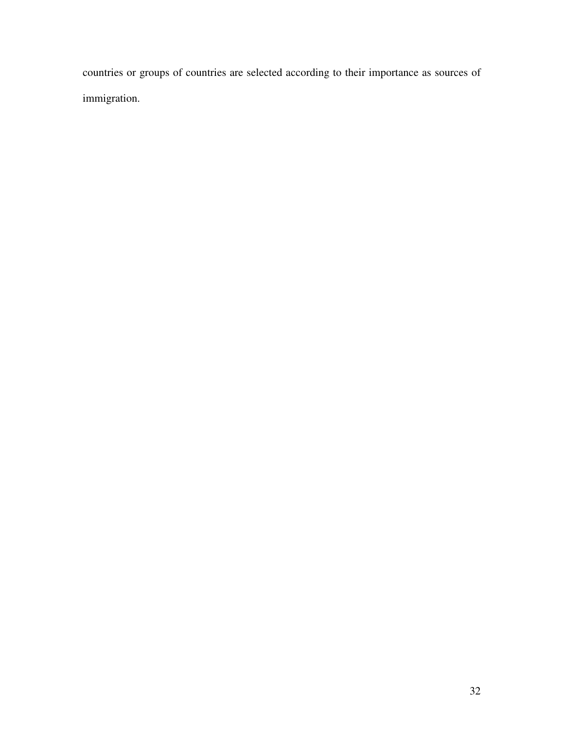countries or groups of countries are selected according to their importance as sources of immigration.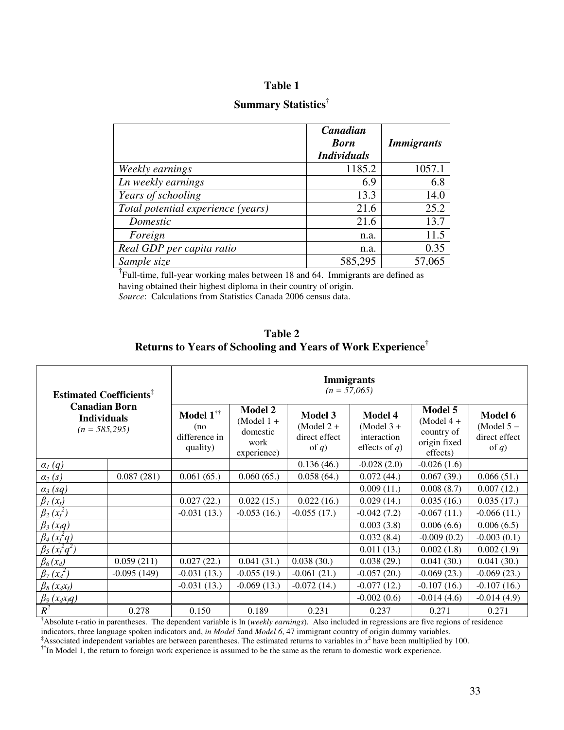## **Table 1**

# **Summary Statistics†**

|                                    | Canadian                          |                   |
|------------------------------------|-----------------------------------|-------------------|
|                                    | <b>Born</b><br><b>Individuals</b> | <b>Immigrants</b> |
| Weekly earnings                    | 1185.2                            | 1057.1            |
| Ln weekly earnings                 | 6.9                               | 6.8               |
| Years of schooling                 | 13.3                              | 14.0              |
| Total potential experience (years) | 21.6                              | 25.2              |
| Domestic                           | 21.6                              | 13.7              |
| Foreign                            | n.a.                              | 11.5              |
| Real GDP per capita ratio          | n.a.                              | 0.35              |
| Sample size                        | 585,295                           | 57,065            |

<sup>†</sup>
Full-time, full-year working males between 18 and 64. Immigrants are defined as having obtained their highest diploma in their country of origin. *Source*: Calculations from Statistics Canada 2006 census data.

| Table 2                                                                 |  |
|-------------------------------------------------------------------------|--|
| Returns to Years of Schooling and Years of Work Experience <sup>†</sup> |  |

| <b>Estimated Coefficients<sup>#</sup></b>                     |               | <b>Immigrants</b><br>$(n = 57,065)$                            |                                                                   |                                                             |                                                                   |                                                                   |                                                      |
|---------------------------------------------------------------|---------------|----------------------------------------------------------------|-------------------------------------------------------------------|-------------------------------------------------------------|-------------------------------------------------------------------|-------------------------------------------------------------------|------------------------------------------------------|
| <b>Canadian Born</b><br><b>Individuals</b><br>$(n = 585,295)$ |               | Model $1^{\dagger\dagger}$<br>(no<br>difference in<br>quality) | <b>Model 2</b><br>$(Model 1 +$<br>domestic<br>work<br>experience) | <b>Model 3</b><br>$(Model 2 +$<br>direct effect<br>of $q$ ) | <b>Model 4</b><br>$(Model 3 +$<br>interaction<br>effects of $q$ ) | Model 5<br>$(Model 4 +$<br>country of<br>origin fixed<br>effects) | Model 6<br>$(Model 5 -$<br>direct effect<br>of $q$ ) |
| $a_l(q)$                                                      |               |                                                                |                                                                   | 0.136(46.)                                                  | $-0.028(2.0)$                                                     | $-0.026(1.6)$                                                     |                                                      |
| $\alpha_2(s)$                                                 | 0.087(281)    | 0.061(65.)                                                     | 0.060(65.)                                                        | 0.058(64.)                                                  | 0.072(44.)                                                        | 0.067(39.)                                                        | 0.066(51.)                                           |
| $\alpha_3$ (sq)                                               |               |                                                                |                                                                   |                                                             | 0.009(11.)                                                        | 0.008(8.7)                                                        | 0.007(12.)                                           |
| $\beta_1(x_f)$                                                |               | 0.027(22.)                                                     | 0.022(15.)                                                        | 0.022(16.)                                                  | 0.029(14.)                                                        | 0.035(16.)                                                        | 0.035(17.)                                           |
| $\beta_2(x_f^2)$                                              |               | $-0.031(13.)$                                                  | $-0.053(16.)$                                                     | $-0.055(17)$                                                | $-0.042(7.2)$                                                     | $-0.067(11)$                                                      | $-0.066(11)$                                         |
| $\beta_3(x,q)$                                                |               |                                                                |                                                                   |                                                             | 0.003(3.8)                                                        | 0.006(6.6)                                                        | 0.006(6.5)                                           |
| $\beta_4(x_f^2q)$                                             |               |                                                                |                                                                   |                                                             | 0.032(8.4)                                                        | $-0.009(0.2)$                                                     | $-0.003(0.1)$                                        |
| $\beta_5(x_f^2q^2)$                                           |               |                                                                |                                                                   |                                                             | 0.011(13.)                                                        | 0.002(1.8)                                                        | 0.002(1.9)                                           |
| $\beta_6(x_d)$                                                | 0.059(211)    | 0.027(22.)                                                     | 0.041(31.)                                                        | 0.038(30.)                                                  | 0.038(29.)                                                        | 0.041(30.)                                                        | 0.041(30.)                                           |
| $\beta_7(x_d^2)$                                              | $-0.095(149)$ | $-0.031(13.)$                                                  | $-0.055(19)$                                                      | $-0.061(21.)$                                               | $-0.057(20.)$                                                     | $-0.069(23.)$                                                     | $-0.069(23.)$                                        |
| $\beta_8(x_dx_f)$                                             |               | $-0.031(13.)$                                                  | $-0.069(13.)$                                                     | $-0.072(14.)$                                               | $-0.077(12.)$                                                     | $-0.107(16.)$                                                     | $-0.107(16.)$                                        |
| $\beta_9(x_d x_q q)$                                          |               |                                                                |                                                                   |                                                             | $-0.002(0.6)$                                                     | $-0.014(4.6)$                                                     | $-0.014(4.9)$                                        |
| $R^2$                                                         | 0.278         | 0.150                                                          | 0.189                                                             | 0.231                                                       | 0.237                                                             | 0.271                                                             | 0.271                                                |

**†**Absolute t-ratio in parentheses. The dependent variable is ln (*weekly earnings*). Also included in regressions are five regions of residence indicators, three language spoken indicators and, *in Model 5*and *Model 6*, 47 immigrant country of origin dummy variables.

<sup>‡</sup>Associated independent variables are between parentheses. The estimated returns to variables in  $x^2$  have been multiplied by 100.

<sup>††</sup>In Model 1, the return to foreign work experience is assumed to be the same as the return to domestic work experience.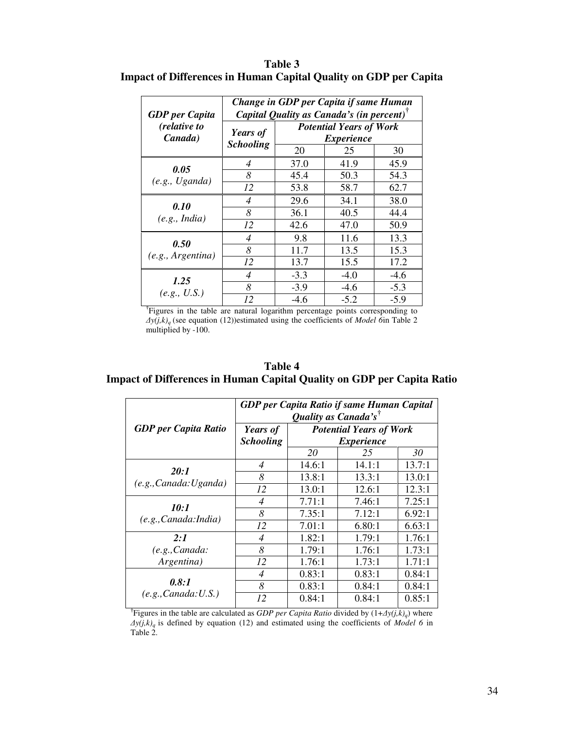| <b>GDP</b> per Capita     |                  | Change in GDP per Capita if same Human<br>Capital Quality as Canada's (in percent) <sup><math>\bar{ }</math></sup> |        |        |  |
|---------------------------|------------------|--------------------------------------------------------------------------------------------------------------------|--------|--------|--|
| (relative to<br>Canada)   | Years of         | <b>Potential Years of Work</b><br><i>Experience</i>                                                                |        |        |  |
|                           | <b>Schooling</b> | 20                                                                                                                 | 25     | 30     |  |
|                           | 4                | 37.0                                                                                                               | 41.9   | 45.9   |  |
| 0.05<br>(e.g., Uganda)    | 8                | 45.4                                                                                                               | 50.3   | 54.3   |  |
|                           | 12               | 53.8                                                                                                               | 58.7   | 62.7   |  |
| 0.10<br>(e.g., India)     | 4                | 29.6                                                                                                               | 34.1   | 38.0   |  |
|                           | 8                | 36.1                                                                                                               | 40.5   | 44.4   |  |
|                           | 12               | 42.6                                                                                                               | 47.0   | 50.9   |  |
|                           | 4                | 9.8                                                                                                                | 11.6   | 13.3   |  |
| 0.50<br>(e.g., Argentina) | 8                | 11.7                                                                                                               | 13.5   | 15.3   |  |
|                           | 12               | 13.7                                                                                                               | 15.5   | 17.2   |  |
| 1.25<br>(e.g., U.S.)      | 4                | $-3.3$                                                                                                             | $-4.0$ | $-4.6$ |  |
|                           | 8                | $-3.9$                                                                                                             | $-4.6$ | $-5.3$ |  |
|                           | 12               | $-4.6$                                                                                                             | $-5.2$ | $-5.9$ |  |

**Table 3 Impact of Differences in Human Capital Quality on GDP per Capita** 

**†** Figures in the table are natural logarithm percentage points corresponding to  $\Delta y(j,k)$ <sup>*g*</sup> (see equation (12))estimated using the coefficients of *Model* 6<sup>in</sup> Table 2 multiplied by -100.

| Table 4                                                                       |
|-------------------------------------------------------------------------------|
| <b>Impact of Differences in Human Capital Quality on GDP per Capita Ratio</b> |

|                               | GDP per Capita Ratio if same Human Capital |                          |        |        |  |
|-------------------------------|--------------------------------------------|--------------------------|--------|--------|--|
|                               | Quality as Canada's <sup>†</sup>           |                          |        |        |  |
| <b>GDP</b> per Capita Ratio   | <b>Potential Years of Work</b><br>Years of |                          |        |        |  |
|                               | <b>Schooling</b>                           | <i><b>Experience</b></i> |        |        |  |
|                               |                                            | 20                       | 25     | 30     |  |
|                               | 4                                          | 14.6:1                   | 14.1:1 | 13.7:1 |  |
| 20:1                          | 8                                          | 13.8:1                   | 13.3:1 | 13.0:1 |  |
| (e.g., Canada: Uganda)        | 12                                         | 13.0:1                   | 12.6:1 | 12.3:1 |  |
| 10:1<br>(e.g., Canada: India) | $\overline{4}$                             | 7.71:1                   | 7.46:1 | 7.25:1 |  |
|                               | 8                                          | 7.35:1                   | 7.12:1 | 6.92:1 |  |
|                               | 12                                         | 7.01:1                   | 6.80:1 | 6.63:1 |  |
| 2:1                           | $\overline{4}$                             | 1.82:1                   | 1.79:1 | 1.76:1 |  |
| (e.g., Canada:                | 8                                          | 1.79:1                   | 1.76:1 | 1.73:1 |  |
| Argentina)                    | 12                                         | 1.76:1                   | 1.73:1 | 1.71:1 |  |
| 0.8:1<br>(e.g., Canada: U.S.) | $\overline{4}$                             | 0.83:1                   | 0.83:1 | 0.84:1 |  |
|                               | 8                                          | 0.83:1                   | 0.84:1 | 0.84:1 |  |
|                               | 12                                         | 0.84:1                   | 0.84:1 | 0.85:1 |  |

**†** Figures in the table are calculated as *GDP per Capita Ratio* divided by (1+∆*y(j,k)<sup>q</sup>* ) where ∆*y(j,k)q* is defined by equation (12) and estimated using the coefficients of *Model 6* in Table 2.